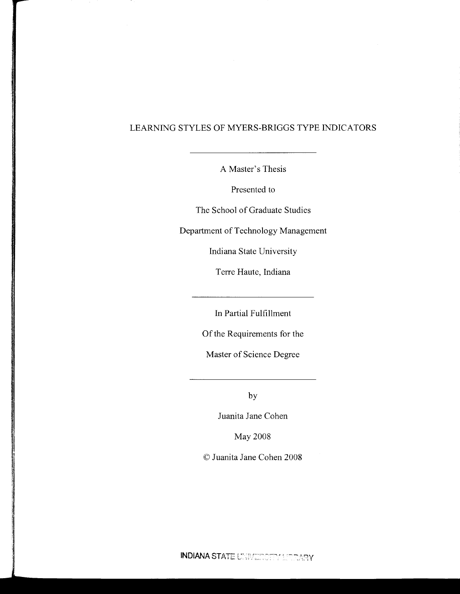# LEARNING STYLES OF MYERS-BRIGGS TYPE INDICATORS

A Master's Thesis

Presented to

The School of Graduate Studies

Department of Technology Management

Indiana State University

Terre Haute, Indiana

In Partial Fulfillment

Of the Requirements for the

Master of Science Degree

by

Juanita Jane Cohen

May 2008

©Juanita Jane Cohen 2008

INDIANA STATE UNIVERSETY MEDARY.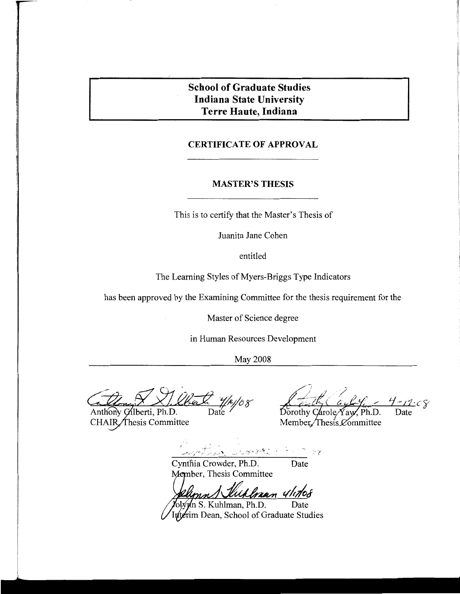# **School of Graduate Studies Indiana State University Terre Haute, Indiana**

# **CERTIFICATE OF APPROVAL**

# **MASTER'S THESIS**

This is to certify that the Master's Thesis of

Juanita Jane Cohen

entitled

The Learning Styles of Myers-Briggs Type Indicators

has been approved by the Examining Committee for the thesis requirement for the

Master of Science degree

in Human Resources Development

May 2008

Date

Anthony Gilberti, Ph.D. CHAIR Thesis Committee

:CŸ  $\mathsf{Date}$ 

Dorothy Carole Yav Member/Thesis Committee

こうこうさと

Cynthia Crowder, Ph.D. Date Member, Thesis Committee

nan 411710k

S. Kuhlman, Ph.D. Date luterim Dean, School of Graduate Studies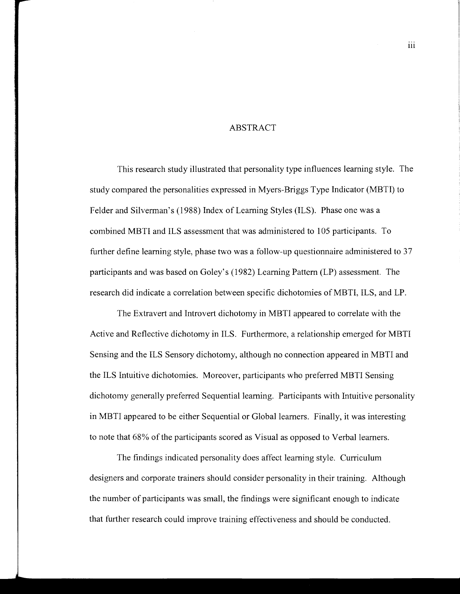#### ABSTRACT

This research study illustrated that personality type influences learning style. The study compared the personalities expressed in Myers-Briggs Type Indicator (MBTI) to Felder and Silverman's (1988) Index of Learning Styles (ILS). Phase one was a combined MBTI and ILS assessment that was administered to 105 participants. To further define learning style, phase two was a follow-up questionnaire administered to 37 participants and was based on Goley's (1982) Learning Pattern (LP) assessment. The research did indicate a correlation between specific dichotomies ofMBTI, ILS, and LP.

The Extravert and Introvert dichotomy in MBTI appeared to correlate with the Active and Reflective dichotomy in ILS. Furthermore, a relationship emerged for MBTI Sensing and the ILS Sensory dichotomy, although no connection appeared in MBTI and the ILS Intuitive dichotomies. Moreover, participants who preferred MBTI Sensing dichotomy generally preferred Sequential learning. Participants with Intuitive personality in MBTI appeared to be either Sequential or Global learners. Finally, it was interesting to note that 68% of the participants scored as Visual as opposed to Verbal learners.

The findings indicated personality does affect learning style. Curriculum designers and corporate trainers should consider personality in their training. Although the number of participants was small, the findings were significant enough to indicate that further research could improve training effectiveness and should be conducted.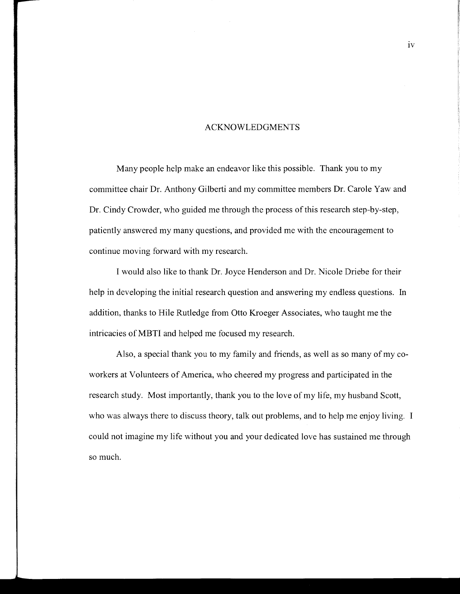#### ACKNOWLEDGMENTS

Many people help make an endeavor like this possible. Thank you to my committee chair Dr. Anthony Gilberti and my committee members Dr. Carole Yaw and Dr. Cindy Crowder, who guided me through the process of this research step-by-step, patiently answered my many questions, and provided me with the encouragement to continue moving forward with my research.

I would also like to thank Dr. Joyce Henderson and Dr. Nicole Driebe for their help in developing the initial research question and answering my endless questions. In addition, thanks to Hile Rutledge from Otto Kroeger Associates, who taught me the intricacies of MBTI and helped me focused my research.

Also, a special thank you to my family and friends, as well as so many of my coworkers at Volunteers of America, who cheered my progress and participated in the research study. Most importantly, thank you to the love of my life, my husband Scott, who was always there to discuss theory, talk out problems, and to help me enjoy living. I could not imagine my life without you and your dedicated love has sustained me through so much.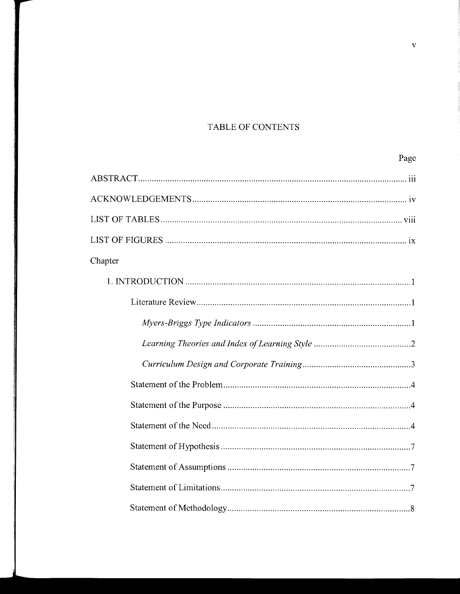# TABLE OF CONTENTS

| Page    |
|---------|
|         |
|         |
|         |
|         |
| Chapter |
|         |
|         |
|         |
|         |
|         |
|         |
|         |
|         |
|         |
|         |
|         |
|         |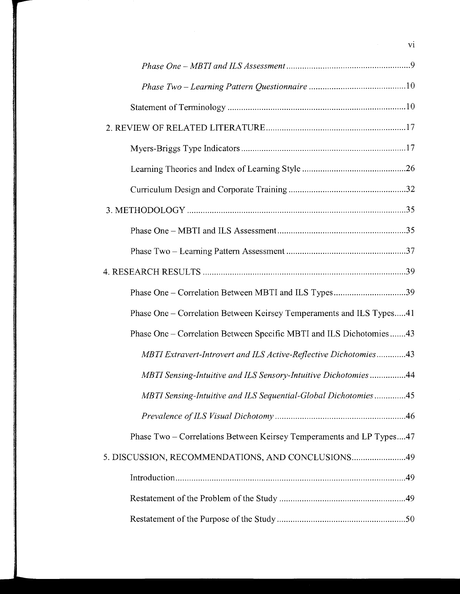| Phase One – Correlation Between MBTI and ILS Types39                 |
|----------------------------------------------------------------------|
| Phase One – Correlation Between Keirsey Temperaments and ILS Types41 |
| Phase One – Correlation Between Specific MBTI and ILS Dichotomies43  |
| MBTI Extravert-Introvert and ILS Active-Reflective Dichotomies43     |
| MBTI Sensing-Intuitive and ILS Sensory-Intuitive Dichotomies44       |
| MBTI Sensing-Intuitive and ILS Sequential-Global Dichotomies45       |
|                                                                      |
| Phase Two – Correlations Between Keirsey Temperaments and LP Types47 |
| 5. DISCUSSION, RECOMMENDATIONS, AND CONCLUSIONS49                    |
|                                                                      |
|                                                                      |
|                                                                      |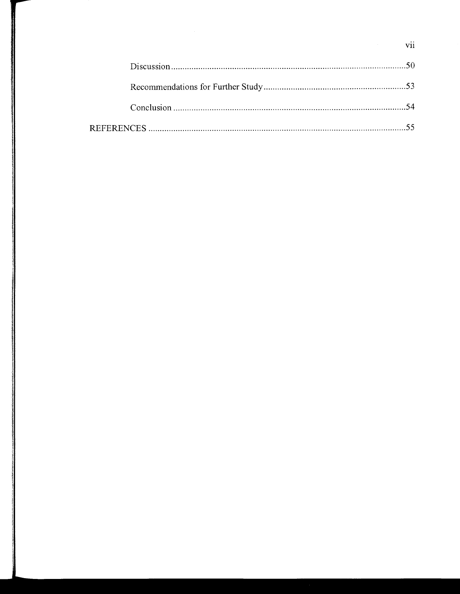vii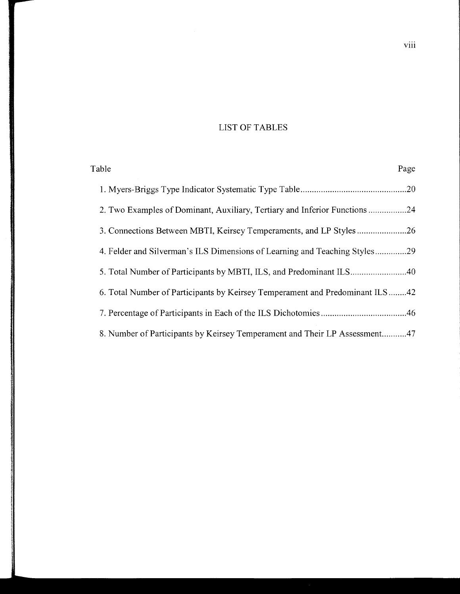# LIST OF TABLES

| Table                                                                        | Page |
|------------------------------------------------------------------------------|------|
|                                                                              |      |
| 2. Two Examples of Dominant, Auxiliary, Tertiary and Inferior Functions      |      |
|                                                                              |      |
| 4. Felder and Silverman's ILS Dimensions of Learning and Teaching Styles29   |      |
|                                                                              |      |
| 6. Total Number of Participants by Keirsey Temperament and Predominant ILS42 |      |
|                                                                              |      |
| 8. Number of Participants by Keirsey Temperament and Their LP Assessment47   |      |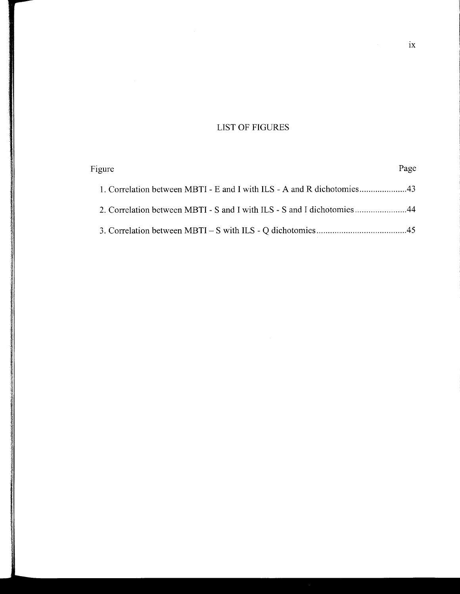# LIST OF FIGURES

| Figure                                                                 | Page |
|------------------------------------------------------------------------|------|
|                                                                        |      |
| 2. Correlation between MBTI - S and I with ILS - S and I dichotomies44 |      |
|                                                                        |      |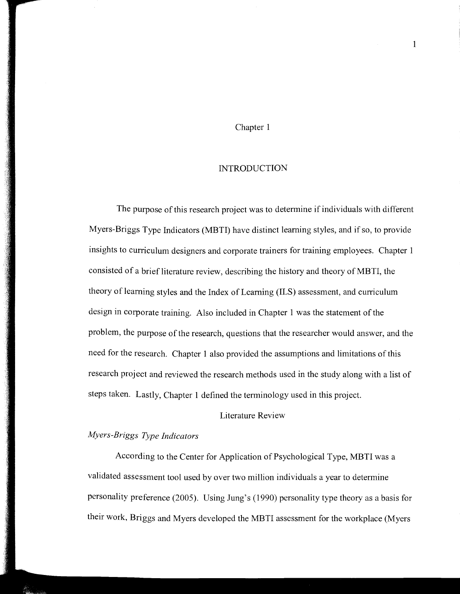## Chapter 1

#### INTRODUCTION

The purpose of this research project was to determine if individuals with different Myers-Briggs Type Indicators (MBTI) have distinct learning styles, and if so, to provide insights to curriculum designers and corporate trainers for training employees. Chapter 1 consisted of a brief literature review, describing the history and theory of MBTI, the theory of learning styles and the Index of Learning (ILS) assessment, and curriculum design in corporate training. Also included in Chapter 1 was the statement of the problem, the purpose of the research, questions that the researcher would answer, and the need for the research. Chapter 1 also provided the assumptions and limitations of this research project and reviewed the research methods used in the study along with a list of steps taken. Lastly, Chapter 1 defined the terminology used in this project.

# Literature Review

# *Myers-Briggs Type Indicators*

According to the Center for Application of Psychological Type, MBTI was a validated assessment tool used by over two million individuals a year to determine personality preference (2005). Using Jung's (1990) personality type theory as a basis for their work, Briggs and Myers developed the MBTI assessment for the workplace (Myers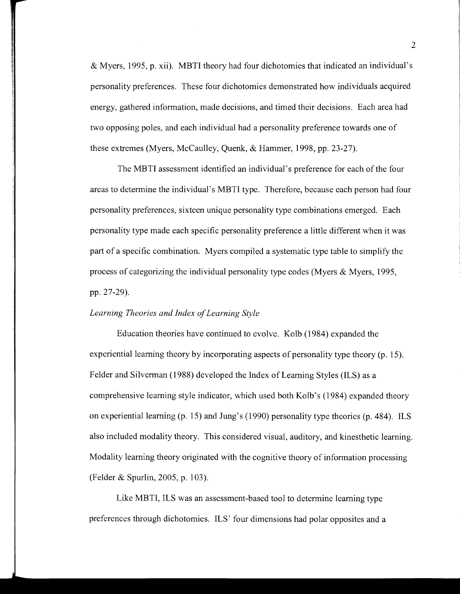& Myers, 1995, p. xii). MBTI theory had four dichotomies that indicated an individual's personality preferences. These four dichotomies demonstrated how individuals acquired energy, gathered information, made decisions, and timed their decisions. Each area had two opposing poles, and each individual had a personality preference towards one of these extremes (Myers, McCaulley, Quenk, & Hammer, 1998, pp. 23-27).

The MBTI assessment identified an individual's preference for each of the four areas to determine the individual's MBTI type. Therefore, because each person had four personality preferences, sixteen unique personality type combinations emerged. Each personality type made each specific personality preference a little different when it was part of a specific combination. Myers compiled a systematic type table to simplify the process of categorizing the individual personality type codes (Myers  $\&$  Myers, 1995, pp. 27-29).

# *Learning Theories and Index of Learning Style*

Education theories have continued to evolve. Kolb (1984) expanded the experiential learning theory by incorporating aspects of personality type theory (p. 15). Felder and Silverman (1988) developed the Index of Learning Styles (ILS) as a comprehensive learning style indicator, which used both Kolb's (1984) expanded theory on experiential learning (p. 15) and Jung's (1990) personality type theories (p. 484). ILS also included modality theory. This considered visual, auditory, and kinesthetic learning. Modality learning theory originated with the cognitive theory of information processing (Felder & Spurlin, 2005, p. 103).

Like MBTI, ILS was an assessment-based tool to determine learning type preferences through dichotomies. ILS' four dimensions had polar opposites and a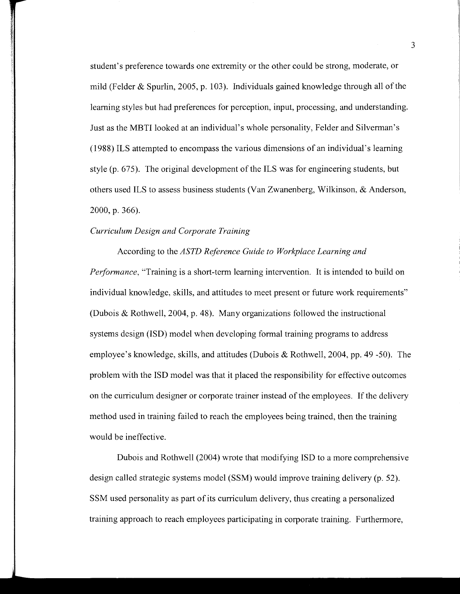student's preference towards one extremity or the other could be strong, moderate, or mild (Felder & Spurlin, 2005, p. 103). Individuals gained knowledge through all of the learning styles but had preferences for perception, input, processing, and understanding. Just as the MBTI looked at an individual's whole personality, Felder and Silverman's (1988) ILS attempted to encompass the various dimensions of an individual's learning style (p. 675). The original development of the ILS was for engineering students, but others used ILS to assess business students (Van Zwanenberg, Wilkinson, & Anderson, 2000, p. 366).

#### *Curriculum Design and Corporate Training*

According to the *ASTD Reference Guide to Workplace Learning and Performance,* "Training is a short-term learning intervention. It is intended to build on individual knowledge, skills, and attitudes to meet present or future work requirements" (Dubois & Rothwell, 2004, p. 48). Many organizations followed the instructional systems design (ISD) model when developing formal training programs to address employee's knowledge, skills, and attitudes (Dubois & Rothwell, 2004, pp. 49 -50). The problem with the ISD model was that it placed the responsibility for effective outcomes on the curriculum designer or corporate trainer instead of the employees. If the delivery method used in training failed to reach the employees being trained, then the training would be ineffective.

Dubois and Rothwell (2004) wrote that modifying ISD to a more comprehensive design called strategic systems model (SSM) would improve training delivery (p. 52). SSM used personality as part of its curriculum delivery, thus creating a personalized training approach to reach employees participating in corporate training. Furthermore,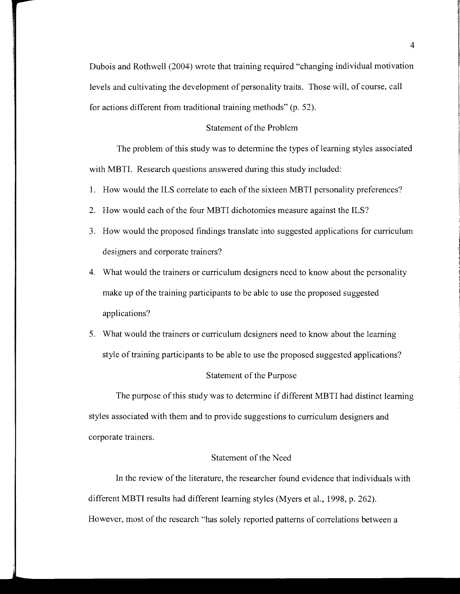Dubois and Rothwell (2004) wrote that training required "changing individual motivation levels and cultivating the development of personality traits. Those will, of course, call for actions different from traditional training methods" (p. 52).

## Statement of the Problem

The problem of this study was to determine the types of learning styles associated with MBTI. Research questions answered during this study included:

- 1. How would the ILS correlate to each of the sixteen MBTI personality preferences?
- 2. How would each of the four MBTI dichotomies measure against the ILS?
- 3. How would the proposed findings translate into suggested applications for curriculum designers and corporate trainers?
- 4. What would the trainers or curriculum designers need to know about the personality make up of the training participants to be able to use the proposed suggested applications?
- 5. What would the trainers or curriculum designers need to know about the learning style of training participants to be able to use the proposed suggested applications?

## Statement of the Purpose

The purpose of this study was to determine if different MBTI had distinct learning styles associated with them and to provide suggestions to curriculum designers and corporate trainers.

# Statement of the Need

In the review of the literature, the researcher found evidence that individuals with different MBTI results had different learning styles (Myers et al., 1998, p. 262). However, most of the research "has solely reported patterns of correlations between a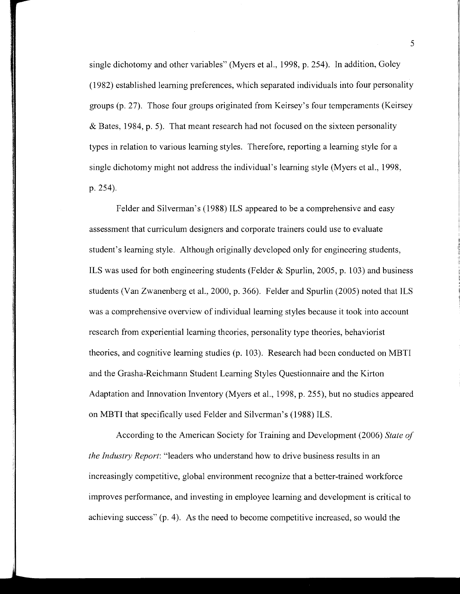single dichotomy and other variables" (Myers et al., 1998, p. 254). In addition, Goley (1982) established learning preferences, which separated individuals into four personality groups (p. 27). Those four groups originated from Keirsey's four temperaments (Keirsey & Bates, 1984, p. 5). That meant research had not focused on the sixteen personality types in relation to various learning styles. Therefore, reporting a learning style for a single dichotomy might not address the individual's learning style (Myers et al., 1998, p. 254).

Felder and Silverman's (1988) ILS appeared to be a comprehensive and easy assessment that curriculum designers and corporate trainers could use to evaluate student's learning style. Although originally developed only for engineering students, ILS was used for both engineering students (Felder & Spurlin, 2005, p. 103) and business students (Van Zwanenberg et al., 2000, p. 366). Felder and Spurlin (2005) noted that ILS was a comprehensive overview of individual learning styles because it took into account research from experiential learning theories, personality type theories, behaviorist theories, and cognitive learning studies (p. 103). Research had been conducted on MBTI and the Grasha-Reichmann Student Learning Styles Questionnaire and the Kirton Adaptation and Innovation Inventory (Myers et al., 1998, p. 255), but no studies appeared on MBTI that specifically used Felder and Silverman's (1988) ILS.

According to the American Society for Training and Development (2006) *State of the Industry Report:* "leaders who understand how to drive business results in an increasingly competitive, global environment recognize that a better-trained workforce improves performance, and investing in employee learning and development is critical to achieving success"  $(p, 4)$ . As the need to become competitive increased, so would the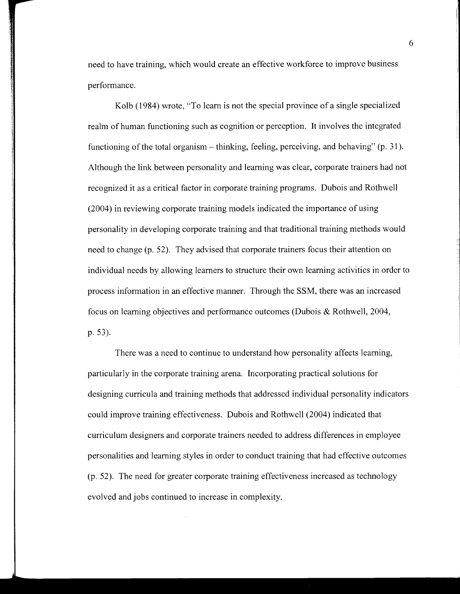need to have training, which would create an effective workforce to improve business performance.

Kolb (1984) wrote, "To learn is not the special province of a single specialized realm of human functioning such as cognition or perception. It involves the integrated functioning of the total organism – thinking, feeling, perceiving, and behaving" (p. 31). Although the link between personality and learning was clear, corporate trainers had not recognized it as a critical factor in corporate training programs. Dubois and Rothwell (2004) in reviewing corporate training models indicated the importance of using personality in developing corporate training and that traditional training methods would need to change (p. 52). They advised that corporate trainers focus their attention on individual needs by allowing learners to structure their own learning activities in order to process information in an effective manner. Through the SSM, there was an increased focus on learning objectives and performance outcomes (Dubois & Rothwell, 2004, p. 53).

There was a need to continue to understand how personality affects learning, particularly in the corporate training arena. Incorporating practical solutions for designing curricula and training methods that addressed individual personality indicators could improve training effectiveness. Dubois and Rothwell (2004) indicated that curriculum designers and corporate trainers needed to address differences in employee personalities and learning styles in order to conduct training that had effective outcomes (p. 52). The need for greater corporate training effectiveness increased as technology evolved and jobs continued to increase in complexity.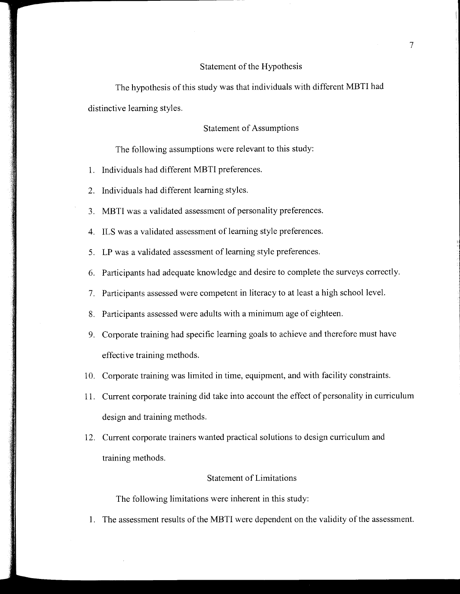#### Statement of the Hypothesis

The hypothesis of this study was that individuals with different MBTI had distinctive learning styles.

#### Statement of Assumptions

The following assumptions were relevant to this study:

- 1. Individuals had different MBTI preferences.
- 2. Individuals had different learning styles.
- 3. MBTI was a validated assessment of personality preferences.
- 4. ILS was a validated assessment of learning style preferences.
- 5. LP was a validated assessment of learning style preferences.
- 6. Participants had adequate knowledge and desire to complete the surveys correctly.
- 7. Participants assessed were competent in literacy to at least a high school level.
- 8. Participants assessed were adults with a minimum age of eighteen.
- 9. Corporate training had specific learning goals to achieve and therefore must have effective training methods.
- 10. Corporate training was limited in time, equipment, and with facility constraints.
- 11. Current corporate training did take into account the effect of personality in curriculum design and training methods.
- 12. Current corporate trainers wanted practical solutions to design curriculum and training methods.

# Statement of Limitations

The following limitations were inherent in this study:

1. The assessment results of the MBTI were dependent on the validity of the assessment.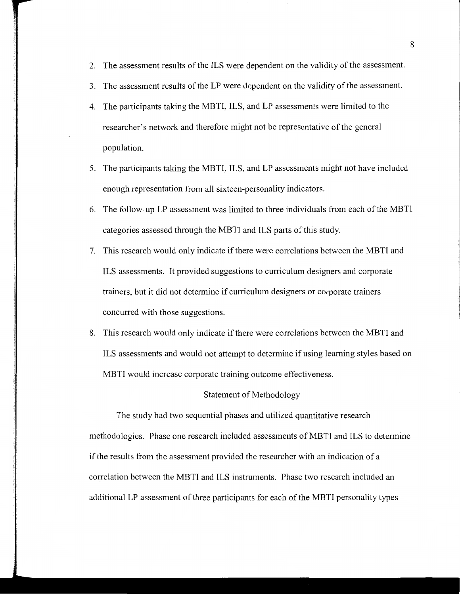- 2. The assessment results of the ILS were dependent on the validity of the assessment.
- 3. The assessment results of the LP were dependent on the validity of the assessment.
- 4. The participants taking the MBTI, ILS, and LP assessments were limited to the researcher's network and therefore might not be representative of the general population.
- 5. The participants taking the MBTI, ILS, and LP assessments might not have included enough representation from all sixteen-personality indicators.
- 6. The follow-up LP assessment was limited to three individuals from each of the MBTI categories assessed through the MBTI and ILS parts of this study.
- 7. This research would only indicate if there were correlations between the MBTI and ILS assessments. It provided suggestions to curriculum designers and corporate trainers, but it did not determine if curriculum designers or corporate trainers concurred with those suggestions.
- 8. This research would only indicate if there were correlations between the MBTI and ILS assessments and would not attempt to determine if using learning styles based on MBTI would increase corporate training outcome effectiveness.

## Statement of Methodology

The study had two sequential phases and utilized quantitative research methodologies. Phase one research included assessments of MBTI and ILS to determine if the results from the assessment provided the researcher with an indication of a correlation between the MBTI and ILS instruments. Phase two research included an additional LP assessment of three participants for each of the MBTI personality types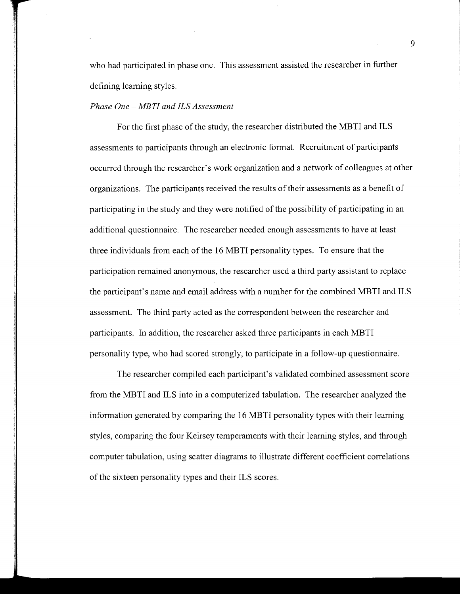who had participated in phase one. This assessment assisted the researcher in further defining learning styles.

#### *Phase One- MBTI and ILS Assessment*

For the first phase of the study, the researcher distributed the MBTI and ILS assessments to participants through an electronic format. Recruitment of participants occurred through the researcher's work organization and a network of colleagues at other organizations. The participants received the results of their assessments as a benefit of participating in the study and they were notified of the possibility of participating in an additional questionnaire. The researcher needed enough assessments to have at least three individuals from each of the 16 MBTI personality types. To ensure that the participation remained anonymous, the researcher used a third party assistant to replace the participant's name and email address with a number for the combined MBTI and ILS assessment. The third party acted as the correspondent between the researcher and participants. In addition, the researcher asked three participants in each MBTI personality type, who had scored strongly, to participate in a follow-up questionnaire.

The researcher compiled each participant's validated combined assessment score from the MBTI and ILS into in a computerized tabulation. The researcher analyzed the information generated by comparing the 16 MBTI personality types with their learning styles, comparing the four Keirsey temperaments with their learning styles, and through computer tabulation, using scatter diagrams to illustrate different coefficient correlations of the sixteen personality types and their ILS scores.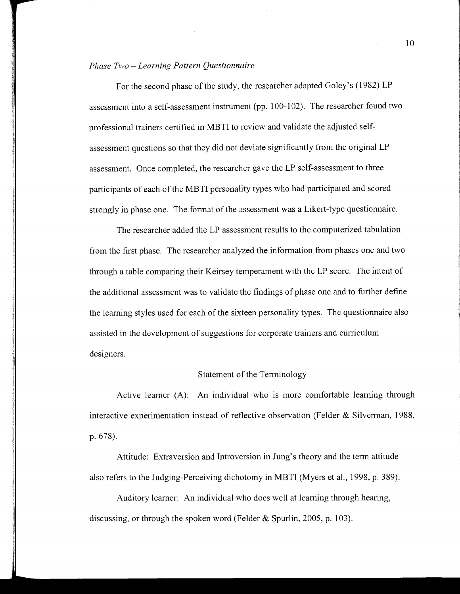#### *Phase Two -Learning Pattern Questionnaire*

For the second phase of the study, the researcher adapted Goley's (1982) LP assessment into a self-assessment instrument (pp. 100-102). The researcher found two professional trainers certified in MBTI to review and validate the adjusted selfassessment questions so that they did not deviate significantly from the original LP assessment. Once completed, the researcher gave the LP self-assessment to three participants of each of the MBTI personality types who had participated and scored strongly in phase one. The format of the assessment was a Likert-type questionnaire.

The researcher added the LP assessment results to the computerized tabulation from the first phase. The researcher analyzed the information from phases one and two through a table comparing their Keirsey temperament with the LP score. The intent of the additional assessment was to validate the findings of phase one and to further define the learning styles used for each of the sixteen personality types. The questionnaire also assisted in the development of suggestions for corporate trainers and curriculum designers.

## Statement of the Terminology

Active learner (A): An individual who is more comfortable learning through interactive experimentation instead of reflective observation (Felder & Silverman, 1988, p. 678).

Attitude: Extraversion and Introversion in Jung's theory and the term attitude also refers to the Judging-Perceiving dichotomy in MBTI (Myers et al., 1998, p. 389).

Auditory learner: An individual who does well at learning through hearing, discussing, or through the spoken word (Felder & Spurlin, 2005, p. 103).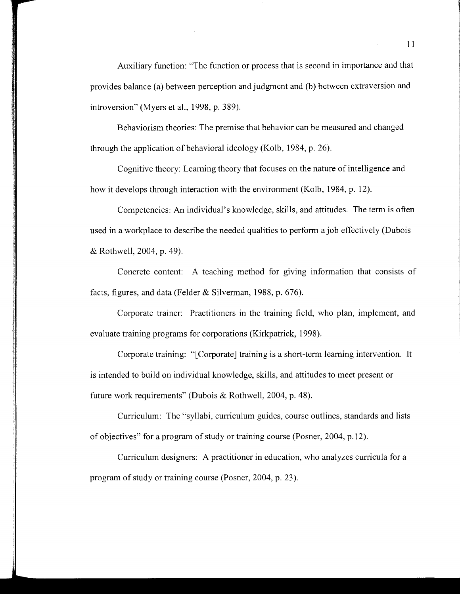Auxiliary function: "The function or process that is second in importance and that provides balance (a) between perception and judgment and (b) between extraversion and introversion" (Myers et al., 1998, p. 389).

Behaviorism theories: The premise that behavior can be measured and changed through the application of behavioral ideology (Kolb, 1984, p. 26).

Cognitive theory: Learning theory that focuses on the nature of intelligence and how it develops through interaction with the environment (Kolb, 1984, p. 12).

Competencies: An individual's knowledge, skills, and attitudes. The term is often used in a workplace to describe the needed qualities to perform a job effectively (Dubois & Rothwell, 2004, p. 49).

Concrete content: A teaching method for giving information that consists of facts, figures, and data (Felder & Silverman, 1988, p. 676).

Corporate trainer: Practitioners in the training field, who plan, implement, and evaluate training programs for corporations (Kirkpatrick, 1998).

Corporate training: "[Corporate] training is a short-term learning intervention. It is intended to build on individual knowledge, skills, and attitudes to meet present or future work requirements" (Dubois & Rothwell, 2004, p. 48).

Curriculum: The "syllabi, curriculum guides, course outlines, standards and lists of objectives" for a program of study or training course (Posner, 2004, p.12).

Curriculum designers: A practitioner in education, who analyzes curricula for a program of study or training course (Posner, 2004, p. 23).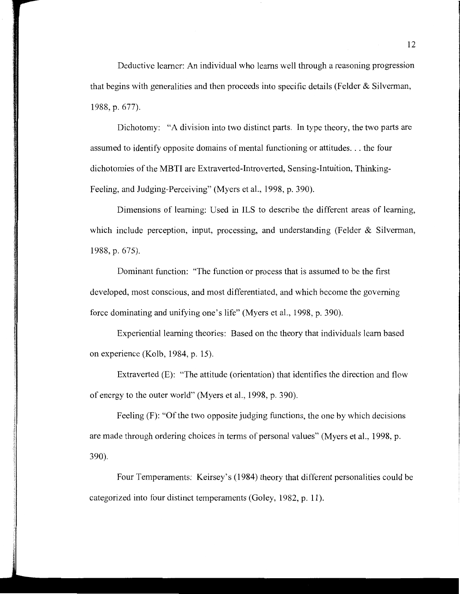Deductive learner: An individual who learns well through a reasoning progression that begins with generalities and then proceeds into specific details (Felder & Silverman, 1988, p. 677).

Dichotomy: "A division into two distinct parts. In type theory, the two parts are assumed to identify opposite domains of mental functioning or attitudes ... the four dichotomies of the MBTI are Extraverted-Introverted, Sensing-Intuition, Thinking-Feeling, and Judging-Perceiving" (Myers et al., 1998, p. 390).

Dimensions of learning: Used in ILS to describe the different areas of learning, which include perception, input, processing, and understanding (Felder & Silverman, 1988, p. 675).

Dominant function: "The function or process that is assumed to be the first developed, most conscious, and most differentiated, and which become the governing force dominating and unifying one's life" (Myers et al., 1998, p. 390).

Experiential learning theories: Based on the theory that individuals learn based on experience (Kolb, 1984, p. 15).

Extraverted (E): "The attitude (orientation) that identifies the direction and flow of energy to the outer world" (Myers et al., 1998, p. 390).

Feeling (F): "Of the two opposite judging functions, the one by which decisions are made through ordering choices in terms of personal values" (Myers et al., 1998, p. 390).

Four Temperaments: Keirsey's (1984) theory that different personalities could be categorized into four distinct temperaments (Goley, 1982, p. 11).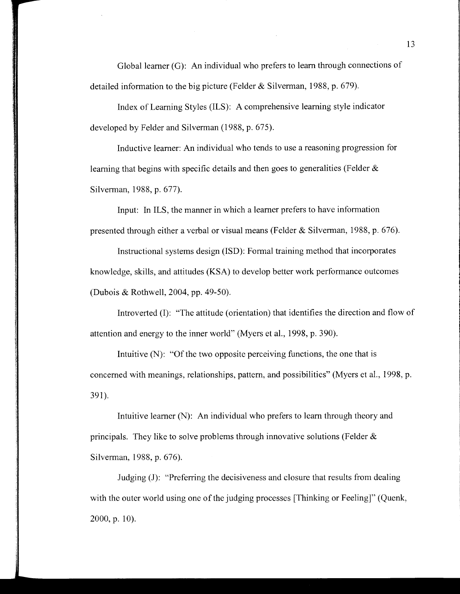Global learner (G): An individual who prefers to learn through connections of detailed information to the big picture (Felder & Silverman, 1988, p. 679).

Index of Learning Styles (ILS): A comprehensive learning style indicator developed by Felder and Silverman (1988, p. 675).

Inductive learner: An individual who tends to use a reasoning progression for learning that begins with specific details and then goes to generalities (Felder & Silverman, 1988, p. 677).

Input: In ILS, the manner in which a learner prefers to have information presented through either a verbal or visual means (Felder & Silverman, 1988, p. 676).

Instructional systems design (ISD): Formal training method that incorporates knowledge, skills, and attitudes (KSA) to develop better work performance outcomes (Dubois & Rothwell, 2004, pp. 49-50).

Introverted (I): "The attitude (orientation) that identifies the direction and flow of attention and energy to the inner world" (Myers et al., 1998, p. 390).

Intuitive (N): "Of the two opposite perceiving functions, the one that is concerned with meanings, relationships, pattern, and possibilities" (Myers et al., 1998, p. 391).

Intuitive learner (N): An individual who prefers to learn through theory and principals. They like to solve problems through innovative solutions (Felder & Silverman, 1988, p. 676).

Judging (J): "Preferring the decisiveness and closure that results from dealing with the outer world using one of the judging processes [Thinking or Feeling]" (Quenk,  $2000$ , p. 10).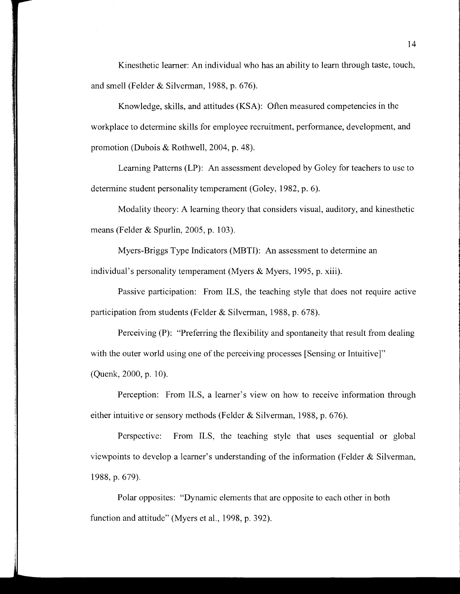Kinesthetic learner: An individual who has an ability to learn through taste, touch, and smell (Felder & Silverman, 1988, p. 676).

Knowledge, skills, and attitudes (KSA): Often measured competencies in the workplace to determine skills for employee recruitment, performance, development, and promotion (Dubois & Rothwell, 2004, p. 48).

Learning Patterns (LP): An assessment developed by Goley for teachers to use to determine student personality temperament (Goley, 1982, p. 6).

Modality theory: A learning theory that considers visual, auditory, and kinesthetic means (Felder & Spurlin, 2005, p. 103).

Myers-Briggs Type Indicators (MBTI): An assessment to determine an

individual's personality temperament (Myers & Myers, 1995, p. xiii).

Passive participation: From ILS, the teaching style that does not require active participation from students (Felder & Silverman, 1988, p. 678).

Perceiving (P): "Preferring the flexibility and spontaneity that result from dealing with the outer world using one of the perceiving processes [Sensing or Intuitive]" (Quenk, 2000, p. 10).

Perception: From ILS, a learner's view on how to receive information through either intuitive or sensory methods (Felder & Silverman, 1988, p. 676).

Perspective: From ILS, the teaching style that uses sequential or global viewpoints to develop a learner's understanding of the information (Felder & Silverman, 1988, p. 679).

Polar opposites: "Dynamic elements that are opposite to each other in both function and attitude" (Myers et al., 1998, p. 392).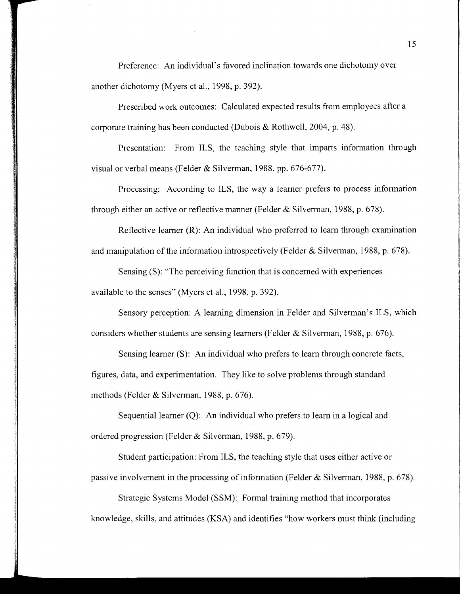Preference: An individual's favored inclination towards one dichotomy over another dichotomy (Myers et al., 1998, p. 392).

Prescribed work outcomes: Calculated expected results from employees after a corporate training has been conducted (Dubois & Rothwell, 2004, p. 48).

Presentation: From ILS, the teaching style that imparts information through visual or verbal means (Felder & Silverman, 1988, pp. 676-677).

Processing: According to ILS, the way a learner prefers to process information through either an active or reflective manner (Felder & Silverman, 1988, p. 678).

Reflective learner (R): An individual who preferred to learn through examination and manipulation of the information introspectively (Felder & Silverman, 1988, p. 678).

Sensing (S): "The perceiving function that is concerned with experiences available to the senses" (Myers et al., 1998, p. 392).

Sensory perception: A learning dimension in Felder and Silverman's ILS, which considers whether students are sensing learners (Felder & Silverman, 1988, p. 676).

Sensing learner (S): An individual who prefers to learn through concrete facts, figures, data, and experimentation. They like to solve problems through standard methods (Felder & Silverman, 1988, p. 676).

Sequential learner (Q): An individual who prefers to learn in a logical and ordered progression (Felder & Silverman, 1988, p. 679).

Student participation: From ILS, the teaching style that uses either active or passive mvolvement in the processing of information (Felder & Silverman, 1988, p. 678).

Strategic Systems Model (SSM): Formal training method that incorporates knowledge, skills, and attitudes (KSA) and identifies "how workers must think (including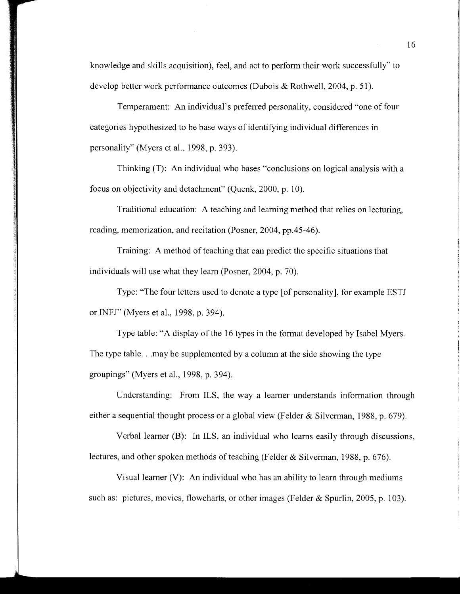knowledge and skills acquisition), feel, and act to perform their work successfully" to develop better work performance outcomes (Dubois & Rothwell, 2004, p. 51).

Temperament: An individual's preferred personality, considered "one of four categories hypothesized to be base ways of identifying individual differences in personality" (Myers et al., 1998, p. 393).

Thinking (T): An individual who bases "conclusions on logical analysis with a focus on objectivity and detachment" (Quenk, 2000, p. 10).

Traditional education: A teaching and learning method that relies on lecturing, reading, memorization, and recitation (Posner, 2004, pp.45-46).

Training: A method of teaching that can predict the specific situations that individuals will use what they learn (Posner, 2004, p. 70).

Type: "The four letters used to denote a type [of personality], for example ESTJ or INFJ" (Myers et al., 1998, p. 394).

Type table: "A display of the 16 types in the format developed by Isabel Myers. The type table ... may be supplemented by a column at the side showing the type groupings" (Myers et al., 1998, p. 394).

Understanding: From ILS, the way a learner understands information through either a sequential thought process or a global view (Felder & Silverman, 1988, p. 679).

Verbal learner (B): In ILS, an individual who learns easily through discussions, lectures, and other spoken methods of teaching (Felder & Silverman, 1988, p. 676).

Visual learner (V): An individual who has an ability to learn through mediums such as: pictures, movies, flowcharts, or other images (Felder & Spurlin, 2005, p. 103).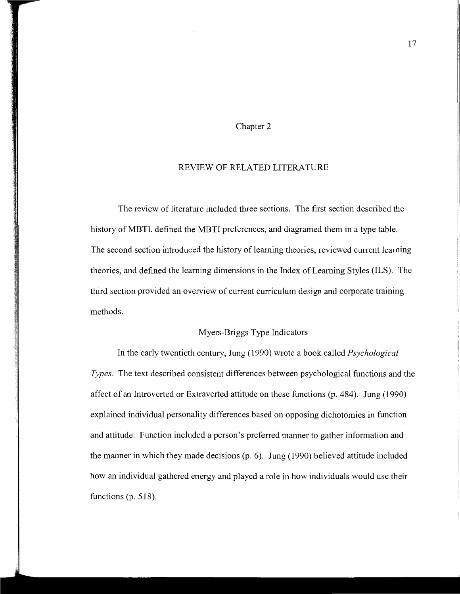## Chapter 2

#### REVIEW OF RELATED LITERATURE

The review of literature included three sections. The first section described the history of MBTI, defined the MBTI preferences, and diagramed them in a type table. The second section introduced the history of learning theories, reviewed current learning theories, and defined the learning dimensions in the Index of Learning Styles (ILS). The third section provided an overview of current curriculum design and corporate training methods.

# Myers-Briggs Type Indicators

In the early twentieth century, Jung (1990) wrote a book called *Psychological Types.* The text described consistent differences between psychological functions and the affect of an Introverted or Extraverted attitude on these functions (p. 484). Jung (1990) explained individual personality differences based on opposing dichotomies in function and attitude. Function included a person's preferred manner to gather information and the manner in which they made decisions (p. 6). Jung (1990) believed attitude included how an individual gathered energy and played a role in how individuals would use their functions (p. 518).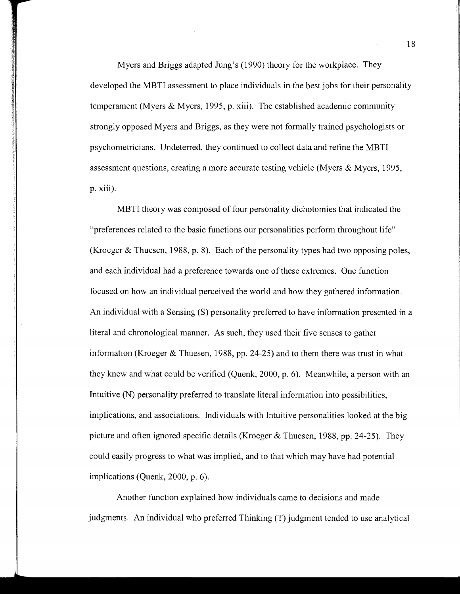Myers and Briggs adapted Jung's (1990) theory for the workplace. They developed the MBTI assessment to place individuals in the best jobs for their personality temperament (Myers & Myers, 1995, p. xiii). The established academic community strongly opposed Myers and Briggs, as they were not formally trained psychologists or psychometricians. Undeterred, they continued to collect data and refine the MBTI assessment questions, creating a more accurate testing vehicle (Myers & Myers, 1995, p. xiii).

MBTI theory was composed of four personality dichotomies that indicated the "preferences related to the basic functions our personalities perform throughout life" (Kroeger & Thuesen, 1988, p. 8). Each of the personality types had two opposing poles, and each individual had a preference towards one of these extremes. One function focused on how an individual perceived the world and how they gathered information. An individual with a Sensing (S) personality preferred to have information presented in a literal and chronological manner. As such, they used their five senses to gather information (Kroeger & Thuesen, 1988, pp. 24-25) and to them there was trust in what they knew and what could be verified (Quenk, 2000, p. 6). Meanwhile, a person with an Intuitive (N) personality preferred to translate literal information into possibilities, implications, and associations. Individuals with Intuitive personalities looked at the big picture and often ignored specific details (Kroeger & Thuesen, 1988, pp. 24-25). They could easily progress to what was implied, and to that which may have had potential implications (Quenk, 2000, p. 6).

Another function explained how individuals came to decisions and made judgments. An individual who preferred Thinking (T) judgment tended to use analytical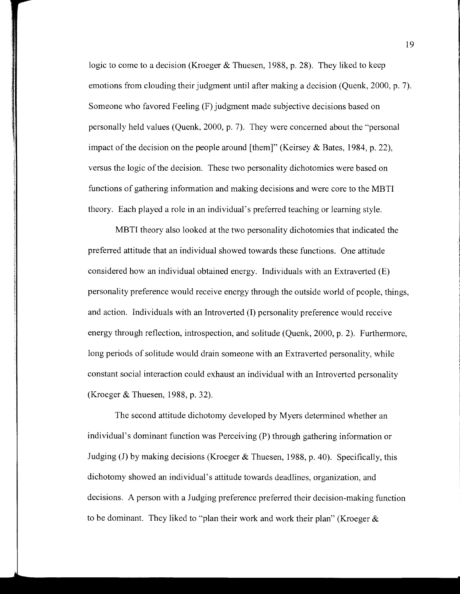logic to come to a decision (Kroeger & Thuesen, 1988, p. 28). They liked to keep emotions from clouding their judgment until after making a decision (Quenk, 2000, p. 7). Someone who favored Feeling (F) judgment made subjective decisions based on personally held values (Quenk, 2000, p. 7). They were concerned about the "personal impact of the decision on the people around [them]" (Keirsey  $\&$  Bates, 1984, p. 22), versus the logic of the decision. These two personality dichotomies were based on functions of gathering information and making decisions and were core to the MBTI theory. Each played a role in an individual's preferred teaching or learning style.

MBTI theory also looked at the two personality dichotomies that indicated the preferred attitude that an individual showed towards these functions. One attitude considered how an individual obtained energy. Individuals with an Extraverted (E) personality preference would receive energy through the outside world of people, things, and action. Individuals with an Introverted (I) personality preference would receive energy through reflection, introspection, and solitude (Quenk, 2000, p. 2). Furthermore, long periods of solitude would drain someone with an Extraverted personality, while constant social interaction could exhaust an individual with an Introverted personality (Kroeger & Thuesen, 1988, p. 32).

The second attitude dichotomy developed by Myers determined whether an individual's dominant function was Perceiving (P) through gathering information or Judging (J) by making decisions (Kroeger & Thuesen, 1988, p. 40). Specifically, this dichotomy showed an individual's attitude towards deadlines, organization, and decisions. A person with a Judging preference preferred their decision-making function to be dominant. They liked to "plan their work and work their plan" (Kroeger  $\&$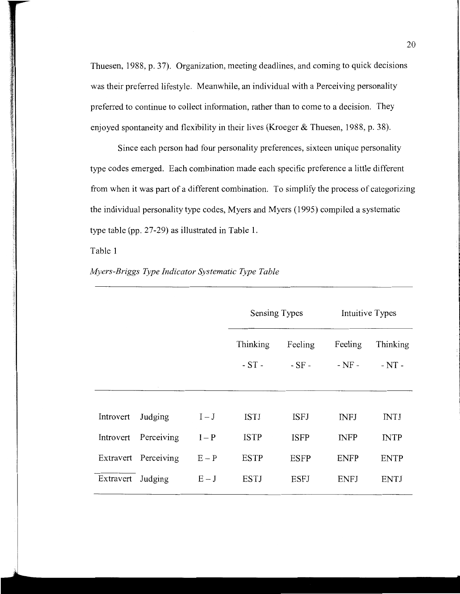Thuesen, 1988, p. 37). Organization, meeting deadlines, and coming to quick decisions was their preferred lifestyle. Meanwhile, an individual with a Perceiving personality preferred to continue to collect information, rather than to come to a decision. They enjoyed spontaneity and flexibility in their lives (Kroeger & Thuesen, 1988, p. 38).

Since each person had four personality preferences, sixteen unique personality type codes emerged. Each combination made each specific preference a little different from when it was part of a different combination. To simplify the process of categorizing the individual personality type codes, Myers and Myers (1995) compiled a systematic type table (pp. 27 -29) as illustrated in Table 1.

Table 1

|           |                      |         | Sensing Types |             | Intuitive Types |             |
|-----------|----------------------|---------|---------------|-------------|-----------------|-------------|
|           |                      |         | Thinking      | Feeling     | Feeling         | Thinking    |
|           |                      |         | $-ST-$        | $-SF -$     | $-NF -$         | $-NT -$     |
|           |                      |         |               |             |                 |             |
| Introvert | Judging              | $I-J$   | <b>ISTJ</b>   | <b>ISFJ</b> | <b>INFJ</b>     | INTJ        |
| Introvert | Perceiving           | $I - P$ | <b>ISTP</b>   | <b>ISFP</b> | <b>INFP</b>     | <b>INTP</b> |
|           | Extravert Perceiving | $E - P$ | <b>ESTP</b>   | <b>ESFP</b> | <b>ENFP</b>     | <b>ENTP</b> |
| Extravert | Judging              | $E-J$   | <b>ESTJ</b>   | <b>ESFJ</b> | <b>ENFJ</b>     | <b>ENTJ</b> |
|           |                      |         |               |             |                 |             |

*Myers-Briggs Type Indicator Systematic Type Table*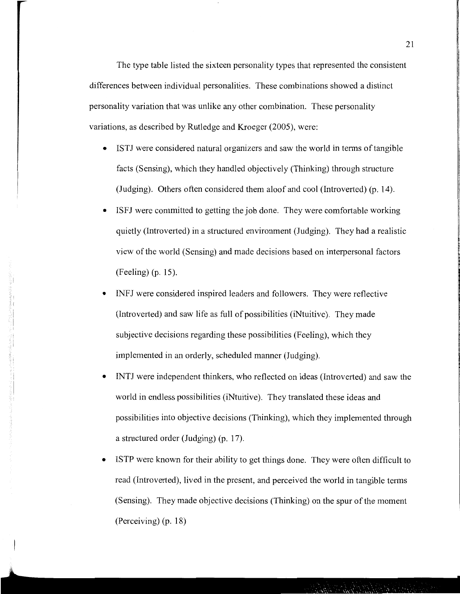The type table listed the sixteen personality types that represented the consistent differences between individual personalities. These combinations showed a distinct personality variation that was unlike any other combination. These personality variations, as described by Rutledge and Kroeger (2005), were:

- ISTJ were considered natural organizers and saw the world in terms of tangible facts (Sensing), which they handled objectively (Thinking) through structure (Judging). Others often considered them aloof and cool (Introverted) (p. 14).
- ISFJ were committed to getting the job done. They were comfortable working quietly (Introverted) in a structured environment (Judging). They had a realistic view of the world (Sensing) and made decisions based on interpersonal factors (Feeling) (p. 15).
- INFJ were considered inspired leaders and followers. They were reflective (Introverted) and saw life as full of possibilities (iNtuitive). They made subjective decisions regarding these possibilities (Feeling), which they implemented in an orderly, scheduled manner (Judging).
- *INTI* were independent thinkers, who reflected on ideas (Introverted) and saw the world in endless possibilities (iNtuitive). They translated these ideas and possibilities into objective decisions (Thinking), which they implemented through a structured order (Judging) (p. 17).
- ISTP were known for their ability to get things done. They were often difficult to read (Introverted), lived in the present, and perceived the world in tangible terms (Sensing). They made objective decisions (Thinking) on the spur of the moment (Perceiving) (p. 18)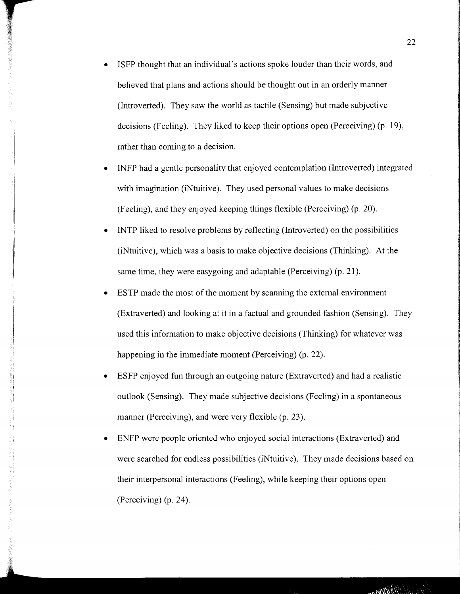- ISFP thought that an individual's actions spoke louder than their words, and believed that plans and actions should be thought out in an orderly manner (Introverted). They saw the world as tactile (Sensing) but made subjective decisions (Feeling). They liked to keep their options open (Perceiving) (p. 19), rather than coming to a decision.
- INFP had a gentle personality that enjoyed contemplation (Introverted) integrated with imagination (iNtuitive). They used personal values to make decisions (Feeling), and they enjoyed keeping things flexible (Perceiving) (p. 20).
- INTP liked to resolve problems by reflecting (Introverted) on the possibilities (iNtuitive), which was a basis to make objective decisions (Thinking). At the same time, they were easygoing and adaptable (Perceiving) (p. 21).
- ESTP made the most of the moment by scanning the external environment (Extraverted) and looking at it in a factual and grounded fashion (Sensing). They used this information to make objective decisions (Thinking) for whatever was happening in the immediate moment (Perceiving) (p. 22).
- ESFP enjoyed fun through an outgoing nature (Extraverted) and had a realistic outlook (Sensing). They made subjective decisions (Feeling) in a spontaneous manner (Perceiving), and were very flexible (p. 23).
- ENFP were people oriented who enjoyed social interactions (Extraverted) and were searched for endless possibilities (iNtuitive). They made decisions based on their interpersonal interactions (Feeling), while keeping their options open (Perceiving) (p. 24).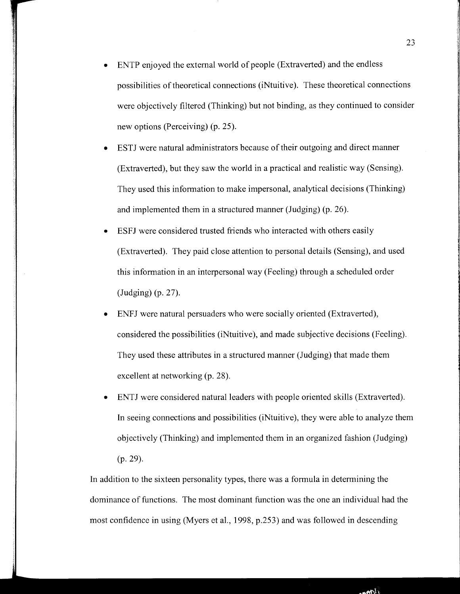- ENTP enjoyed the external world of people (Extraverted) and the endless possibilities of theoretical connections (iNtuitive). These theoretical connections were objectively filtered (Thinking) but not binding, as they continued to consider new options (Perceiving) (p. 25).
- ESTJ were natural administrators because of their outgoing and direct manner (Extraverted), but they saw the world in a practical and realistic way (Sensing). They used this information to make impersonal, analytical decisions (Thinking) and implemented them in a structured manner (Judging) (p. 26).
- ESFJ were considered trusted friends who interacted with others easily (Extraverted). They paid close attention to personal details (Sensing), and used this information in an interpersonal way (Feeling) through a scheduled order (Judging) (p. 27).
- ENFJ were natural persuaders who were socially oriented (Extraverted), considered the possibilities (iNtuitive), and made subjective decisions (Feeling). They used these attributes in a structured manner (Judging) that made them excellent at networking (p. 28).
- ENTJ were considered natural leaders with people oriented skills (Extraverted). In seeing connections and possibilities (iNtuitive), they were able to analyze them objectively (Thinking) and implemented them in an organized fashion (Judging) (p. 29).

In addition to the sixteen personality types, there was a formula in determining the dominance of functions. The most dominant function was the one an individual had the most confidence in using (Myers et al., 1998, p.253) and was followed in descending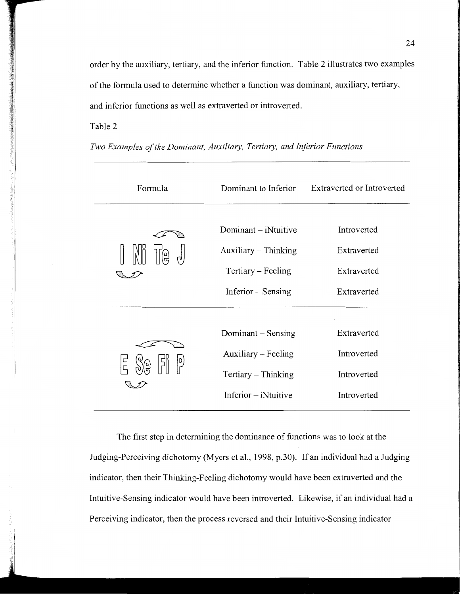order by the auxiliary, tertiary, and the inferior function. Table 2 illustrates two examples of the formula used to determine whether a function was dominant, auxiliary, tertiary, and inferior functions as well as extraverted or introverted.

# Table 2

| Formula | Dominant to Inferior                                                                     | Extraverted or Introverted                               |
|---------|------------------------------------------------------------------------------------------|----------------------------------------------------------|
| (이      | Dominant – iNtuitive<br>Auxiliary - Thinking<br>Tertiary – Feeling<br>Inferior – Sensing | Introverted<br>Extraverted<br>Extraverted<br>Extraverted |
|         | Dominant – Sensing<br>Auxiliary – Feeling<br>Tertiary - Thinking<br>$Inferior - iN$      | Extraverted<br>Introverted<br>Introverted<br>Introverted |

*Two Examples of the Dominant, Auxiliary, Tertiary, and Inferior Functions* 

The first step in determining the dominance of functions was to look at the Judging-Perceiving dichotomy (Myers et al., 1998, p.30). If an individual had a Judging indicator, then their Thinking-Feeling dichotomy would have been extraverted and the Intuitive-Sensing indicator would have been introverted. Likewise, if an individual had a Perceiving indicator, then the process reversed and their Intuitive-Sensing indicator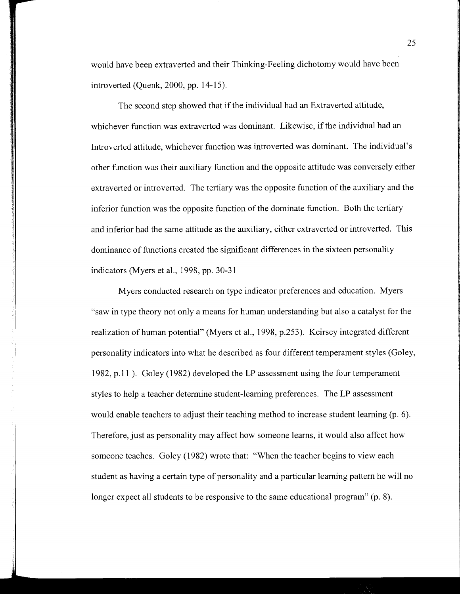would have been extraverted and their Thinking-Feeling dichotomy would have been introverted (Quenk, 2000, pp. 14-15).

The second step showed that if the individual had an Extraverted attitude, whichever function was extraverted was dominant. Likewise, if the individual had an Introverted attitude, whichever function was introverted was dominant. The individual's other function was their auxiliary function and the opposite attitude was conversely either extraverted or introverted. The tertiary was the opposite function of the auxiliary and the inferior function was the opposite function of the dominate function. Both the tertiary and inferior had the same attitude as the auxiliary, either extraverted or introverted. This dominance of functions created the significant differences in the sixteen personality indicators (Myers et al., 1998, pp. 30-31

Myers conducted research on type indicator preferences and education. Myers "saw in type theory not only a means for human understanding but also a catalyst for the realization of human potential" (Myers et al., 1998, p.253). Keirsey integrated different personality indicators into what he described as four different temperament styles (Goley, 1982, p.11 ). Goley (1982) developed the LP assessment using the four temperament styles to help a teacher determine student-learning preferences. The LP assessment would enable teachers to adjust their teaching method to increase student learning (p. 6). Therefore, just as personality may affect how someone learns, it would also affect how someone teaches. Goley (1982) wrote that: "When the teacher begins to view each student as having a certain type of personality and a particular learning pattern he will no longer expect all students to be responsive to the same educational program" (p. 8).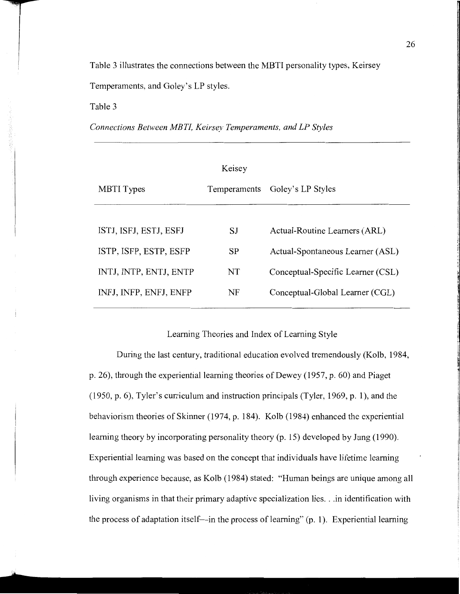Table 3 illustrates the connections between the MBTI personality types, Keirsey

Temperaments, and Goley's LP styles.

Table 3

*Connections Between MBTL Keirsey Temperaments, and LP Styles* 

|                        | Keisey       |                                   |
|------------------------|--------------|-----------------------------------|
| <b>MBTI</b> Types      | Temperaments | Goley's LP Styles                 |
|                        |              |                                   |
| ISTJ, ISFJ, ESTJ, ESFJ | SJ           | Actual-Routine Learners (ARL)     |
| ISTP, ISFP, ESTP, ESFP | <b>SP</b>    | Actual-Spontaneous Learner (ASL)  |
| INTJ, INTP, ENTJ, ENTP | NT           | Conceptual-Specific Learner (CSL) |
| INFJ, INFP, ENFJ, ENFP | NF           | Conceptual-Global Learner (CGL)   |

Learning Theories and Index of Learning Style

During the last century, traditional education evolved tremendously (Kolb, 1984, p. 26), through the experiential learning theories of Dewey (1957, p. 60) and Piaget (1950, p. 6), Tyler's curriculum and instruction principals (Tyler, 1969, p. 1 ), and the behaviorism theories of Skinner (1974, p. 184). Kolb (1984) enhanced the experiential learning theory by incorporating personality theory (p. 15) developed by Jung (1990). Experiential learning was based on the concept that individuals have lifetime learning through experience because, as Kolb (1984) stated: "Human beings are unique among all living organisms in that their primary adaptive specialization lies .. .in identification with the process of adaptation itself—in the process of learning"  $(p, 1)$ . Experiential learning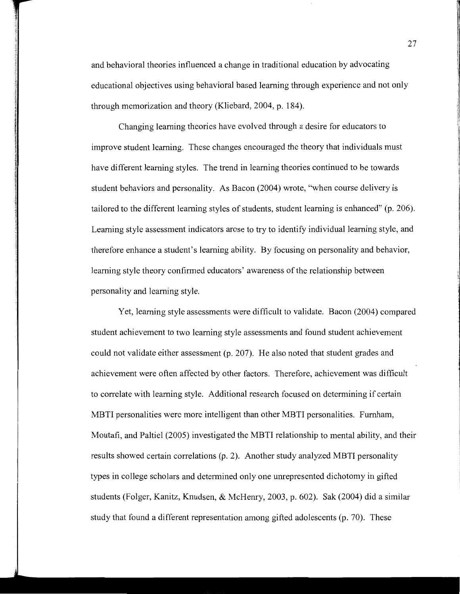and behavioral theories influenced a change in traditional education by advocating educational objectives using behavioral based learning through experience and not only through memorization and theory (Kliebard, 2004, p. 184).

Changing learning theories have evolved through a desire for educators to improve student learning. These changes encouraged the theory that individuals must have different learning styles. The trend in learning theories continued to be towards student behaviors and personality. As Bacon (2004) wrote, "when course delivery is tailored to the different learning styles of students, student learning is enhanced" (p. 206). Learning style assessment indicators arose to try to identify individual learning style, and therefore enhance a student's learning ability. By focusing on personality and behavior, learning style theory confirmed educators' awareness of the relationship between personality and learning style.

Yet, learning style assessments were difficult to validate. Bacon (2004) compared student achievement to two learning style assessments and found student achievement could not validate either assessment (p. 207). He also noted that student grades and achievement were often affected by other factors. Therefore, achievement was difficult to correlate with learning style. Additional research focused on determining if certain MBTI personalities were more intelligent than other MBTI personalities. Furnham, Moutafi, and Paltiel (2005) investigated the MBTI relationship to mental ability, and their results showed certain correlations (p. 2). Another study analyzed MBTI personality types in college scholars and determined only one umepresented dichotomy in gifted students (Folger, Kanitz, Knudsen, & McHemy, 2003, p. 602). Sak (2004) did a similar study that found a different representation among gifted adolescents (p. 70). These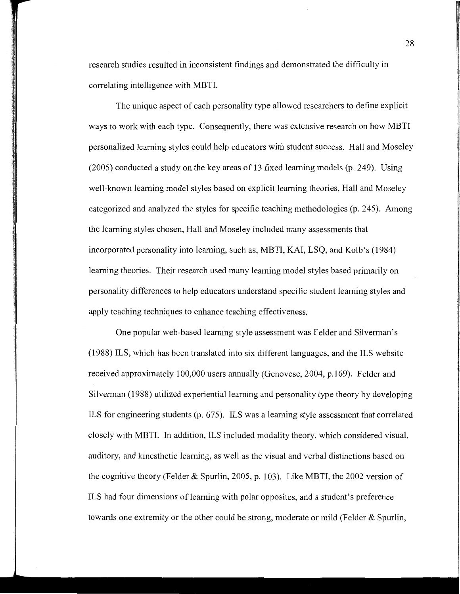research studies resulted in inconsistent findings and demonstrated the difficulty in correlating intelligence with MBTI.

The unique aspect of each personality type allowed researchers to define explicit ways to work with each type. Consequently, there was extensive research on how MBTI personalized learning styles could help educators with student success. Hall and Moseley (2005) conducted a study on the key areas of 13 fixed learning models (p. 249). Using well-known learning model styles based on explicit learning theories, Hall and Moseley categorized and analyzed the styles for specific teaching methodologies (p. 245). Among the learning styles chosen, Hall and Moseley included many assessments that incorporated personality into learning, such as, MBTI, KAI, LSQ, and Kolb's (1984) learning theories. Their research used many learning model styles based primarily on personality differences to help educators understand specific student learning styles and apply teaching techniques to enhance teaching effectiveness.

One popular web-based learning style assessment was Felder and Silverman's (1988) ILS, which has been translated into six different languages, and the ILS website received approximately 100,000 users annually (Genovese, 2004, p.169). Felder and Silverman (1988) utilized experiential learning and personality type theory by developing ILS for engineering students (p. 675). ILS was a learning style assessment that correlated closely with MBTI. In addition, ILS included modality theory, which considered visual, auditory, and kinesthetic learning, as well as the visual and verbal distinctions based on the cognitive theory (Felder & Spurlin, 2005, p. 103). Like MBTI, the 2002 version of ILS had four dimensions of learning with polar opposites, and a student's preference towards one extremity or the other could be strong, moderate or mild (Felder & Spurlin,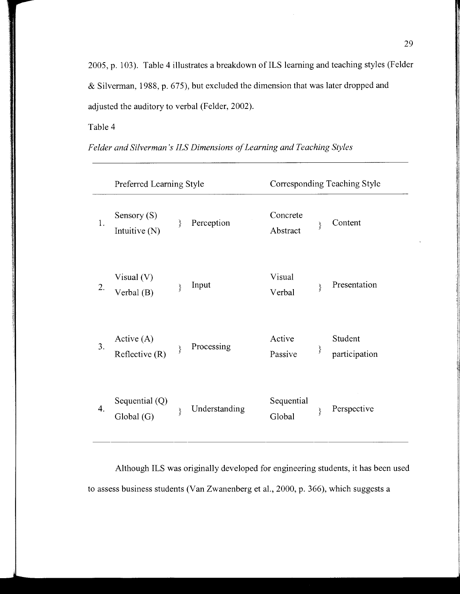2005, p. 103). Table 4 illustrates a breakdown of ILS learning and teaching styles (Felder & Silverman, 1988, p. 675), but excluded the dimension that was later dropped and adjusted the auditory to verbal (Felder, 2002).

Table 4

|    | Preferred Learning Style         |   | Corresponding Teaching Style |                      |   |                          |
|----|----------------------------------|---|------------------------------|----------------------|---|--------------------------|
| 1. | Sensory $(S)$<br>Intuitive (N)   | ∤ | Perception                   | Concrete<br>Abstract | ₹ | Content                  |
| 2. | Visual $(V)$<br>Verbal (B)       | ∤ | Input                        | Visual<br>Verbal     | ∤ | Presentation             |
| 3. | Active $(A)$<br>Reflective $(R)$ | ∤ | Processing                   | Active<br>Passive    | } | Student<br>participation |
| 4. | Sequential $(Q)$<br>Global (G)   | } | Understanding                | Sequential<br>Global | ∤ | Perspective              |

*Felder and Silverman's ILS Dimensions of Learning and Teaching Styles* 

Although ILS was originally developed for engineering students, it has been used to assess business students (Van Zwanenberg et al., 2000, p. 366), which suggests a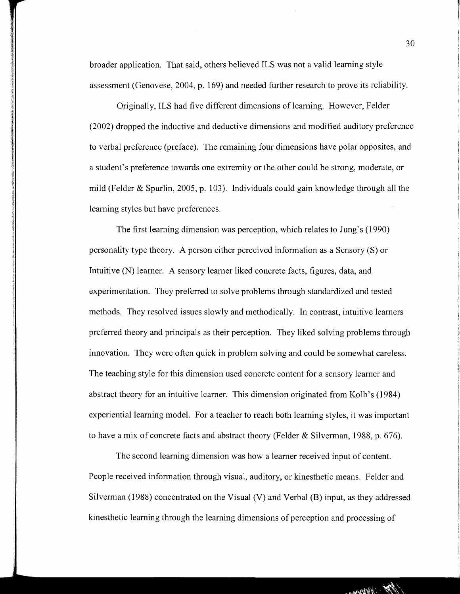broader application. That said, others believed ILS was not a valid learning style assessment (Genovese, 2004, p. 169) and needed further research to prove its reliability.

Originally, ILS had five different dimensions of learning. However, Felder (2002) dropped the inductive and deductive dimensions and modified auditory preference to verbal preference (preface). The remaining four dimensions have polar opposites, and a student's preference towards one extremity or the other could be strong, moderate, or mild (Felder & Spurlin, 2005, p. 103). Individuals could gain knowledge through all the learning styles but have preferences.

The first learning dimension was perception, which relates to Jung's (1990) personality type theory. A person either perceived information as a Sensory (S) or Intuitive (N) learner. A sensory learner liked concrete facts, figures, data, and experimentation. They preferred to solve problems through standardized and tested methods. They resolved issues slowly and methodically. In contrast, intuitive learners preferred theory and principals as their perception. They liked solving problems through innovation. They were often quick in problem solving and could be somewhat careless. The teaching style for this dimension used concrete content for a sensory learner and abstract theory for an intuitive learner. This dimension originated from Kolb's (1984) experiential learning model. For a teacher to reach both learning styles, it was important to have a mix of concrete facts and abstract theory (Felder & Silverman, 1988, p. 676).

The second learning dimension was how a learner received input of content. People received information through visual, auditory, or kinesthetic means. Felder and Silverman (1988) concentrated on the Visual (V) and Verbal (B) input, as they addressed kinesthetic learning through the learning dimensions of perception and processing of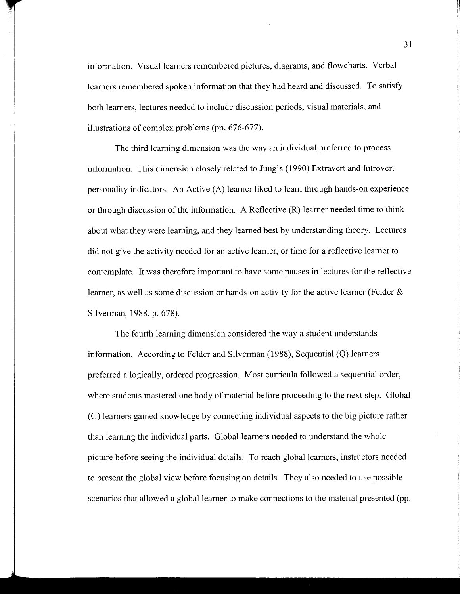information. Visual learners remembered pictures, diagrams, and flowcharts. Verbal learners remembered spoken information that they had heard and discussed. To satisfy both learners, lectures needed to include discussion periods, visual materials, and illustrations of complex problems (pp. 676-677).

The third learning dimension was the way an individual preferred to process information. This dimension closely related to *lung's* (1990) Extravert and Introvert personality indicators. An Active (A) learner liked to learn through hands-on experience or through discussion of the information. A Reflective (R) learner needed time to think about what they were learning, and they learned best by understanding theory. Lectures did not give the activity needed for an active learner, or time for a reflective learner to contemplate. It was therefore important to have some pauses in lectures for the reflective learner, as well as some discussion or hands-on activity for the active learner (Felder  $\&$ Silverman, 1988, p. 678).

The fourth learning dimension considered the way a student understands information. According to Felder and Silverman (1988), Sequential (Q) learners preferred a logically, ordered progression. Most curricula followed a sequential order, where students mastered one body of material before proceeding to the next step. Global (G) learners gained knowledge by connecting individual aspects to the big picture rather than learning the individual parts. Global learners needed to understand the whole picture before seeing the individual details. To reach global learners, instructors needed to present the global view before focusing on details. They also needed to use possible scenarios that allowed a global learner to make connections to the material presented (pp.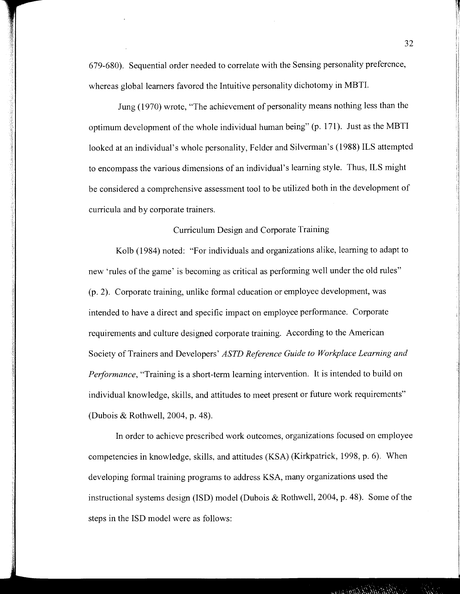679-680). Sequential order needed to correlate with the Sensing personality preference, whereas global learners favored the Intuitive personality dichotomy in MBTI.

Jung (1970) wrote, "The achievement of personality means nothing less than the optimum development of the whole individual human being" (p. 171). Just as the MBTI looked at an individual's whole personality, Felder and Silverman's (1988) ILS attempted to encompass the various dimensions of an individual's learning style. Thus, ILS might be considered a comprehensive assessment tool to be utilized both in the development of curricula and by corporate trainers.

### Curriculum Design and Corporate Training

Kolb (1984) noted: "For individuals and organizations alike, learning to adapt to new 'rules of the game' is becoming as critical as performing well under the old rules" (p. 2). Corporate training, unlike formal education or employee development, was intended to have a direct and specific impact on employee performance. Corporate requirements and culture designed corporate training. According to the American Society of Trainers and Developers' *ASTD Reference Guide to Workplace Learning and Performance,* "Training is a short-term learning intervention. It is intended to build on individual knowledge, skills, and attitudes to meet present or future work requirements" (Dubois & Rothwell, 2004, p. 48).

In order to achieve prescribed work outcomes, organizations focused on employee competencies in knowledge, skills, and attitudes (KSA) (Kirkpatrick, 1998, p. 6). When developing formal training programs to address KSA, many organizations used the instructional systems design (lSD) model (Dubois & Rothwell, 2004, p. 48). Some of the steps in the lSD model were as follows: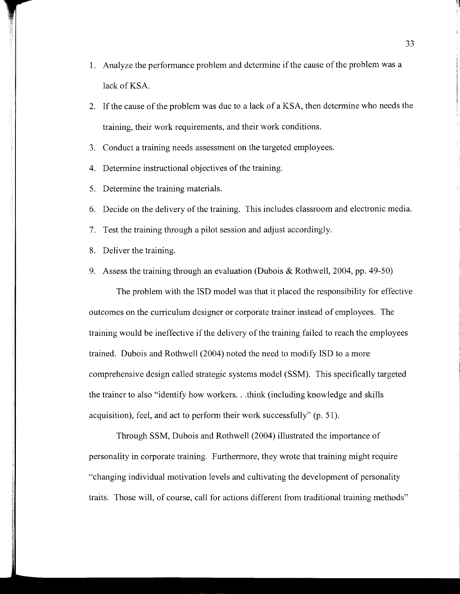- 1. Analyze the performance problem and determine if the cause of the problem was a lack of KSA.
- 2. If the cause of the problem was due to a lack of a KSA, then determine who needs the training, their work requirements, and their work conditions.
- 3. Conduct a training needs assessment on the targeted employees.
- 4. Determine instructional objectives of the training.
- 5. Determine the training materials.
- 6. Decide on the delivery of the training. This includes classroom and electronic media.
- 7. Test the training through a pilot session and adjust accordingly.
- 8. Deliver the training.
- 9. Assess the training through an evaluation (Dubois & Rothwell, 2004, pp. 49-50)

The problem with the ISD model was that it placed the responsibility for effective outcomes on the curriculum designer or corporate trainer instead of employees. The training would be ineffective if the delivery of the training failed to reach the employees trained. Dubois and Rothwell (2004) noted the need to modify ISD to a more comprehensive design called strategic systems model (SSM). This specifically targeted the trainer to also "identify how workers ... think (including knowledge and skills acquisition), feel, and act to perform their work successfully" (p. 51).

Through SSM, Dubois and Rothwell (2004) illustrated the importance of personality in corporate training. Furthermore, they wrote that training might require "changing individual motivation levels and cultivating the development of personality traits. Those will, of course, call for actions different from traditional training methods"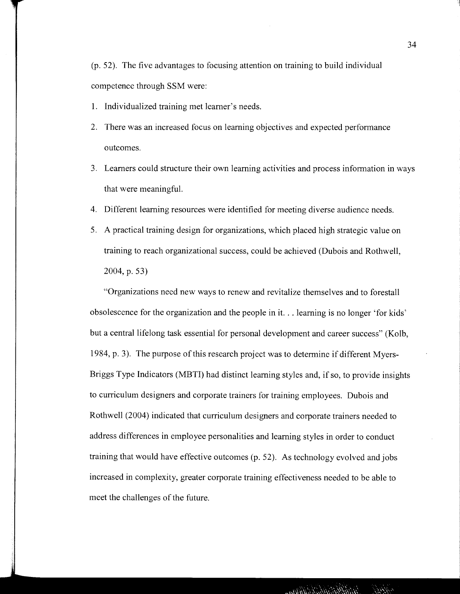(p. 52). The five advantages to focusing attention on training to build individual competence through SSM were:

- 1. Individualized training met learner's needs.
- 2. There was an increased focus on learning objectives and expected performance outcomes.
- 3. Learners could structure their own learning activities and process information in ways that were meaningful.
- 4. Different learning resources were identified for meeting diverse audience needs.
- 5. A practical training design for organizations, which placed high strategic value on training to reach organizational success, could be achieved (Dubois and Rothwell, 2004,p.53)

"Organizations need new ways to renew and revitalize themselves and to forestall obsolescence for the organization and the people in it. .. learning is no longer 'for kids' but a central lifelong task essential for personal development and career success" (Kolb, 1984, p. 3). The purpose of this research project was to determine if different Myers-Briggs Type Indicators (MBTI) had distinct learning styles and, if so, to provide insights to curriculum designers and corporate trainers for training employees. Dubois and Rothwell (2004) indicated that curriculum designers and corporate trainers needed to address differences in employee personalities and learning styles in order to conduct training that would have effective outcomes (p. 52). As technology evolved and jobs increased in complexity, greater corporate training effectiveness needed to be able to meet the challenges of the future.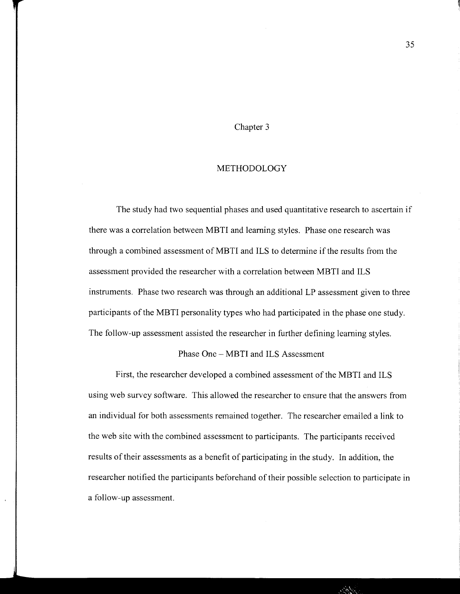# Chapter 3

#### METHODOLOGY

The study had two sequential phases and used quantitative research to ascertain if there was a correlation between MBTI and learning styles. Phase one research was through a combined assessment of MBTI and ILS to determine if the results from the assessment provided the researcher with a correlation between MBTI and ILS instruments. Phase two research was through an additional LP assessment given to three participants of the MBTI personality types who had participated in the phase one study. The follow-up assessment assisted the researcher in further defining learning styles.

## Phase One- MBTI and ILS Assessment

First, the researcher developed a combined assessment of the MBTI and ILS using web survey software. This allowed the researcher to ensure that the answers from an individual for both assessments remained together. The researcher emailed a link to the web site with the combined assessment to participants. The participants received results of their assessments as a benefit of participating in the study. In addition, the researcher notified the participants beforehand of their possible selection to participate in a follow-up assessment.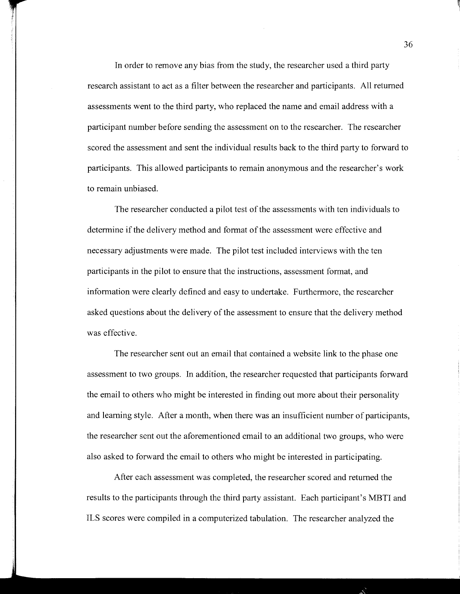In order to remove any bias from the study, the researcher used a third party research assistant to act as a filter between the researcher and participants. All returned assessments went to the third party, who replaced the name and email address with a participant number before sending the assessment on to the researcher. The researcher scored the assessment and sent the individual results back to the third party to forward to participants. This allowed participants to remain anonymous and the researcher's work to remain unbiased.

The researcher conducted a pilot test of the assessments with ten individuals to determine if the delivery method and format of the assessment were effective and necessary adjustments were made. The pilot test included interviews with the ten participants in the pilot to ensure that the instructions, assessment format, and information were clearly defined and easy to undertake. Furthermore, the researcher asked questions about the delivery of the assessment to ensure that the delivery method was effective.

The researcher sent out an email that contained a website link to the phase one assessment to two groups. In addition, the researcher requested that participants forward the email to others who might be interested in finding out more about their personality and learning style. After a month, when there was an insufficient number of participants, the researcher sent out the aforementioned email to an additional two groups, who were also asked to forward the email to others who might be interested in participating.

After each assessment was completed, the researcher scored and returned the results to the participants through the third party assistant. Each participant's MBTI and ILS scores were compiled in a computerized tabulation. The researcher analyzed the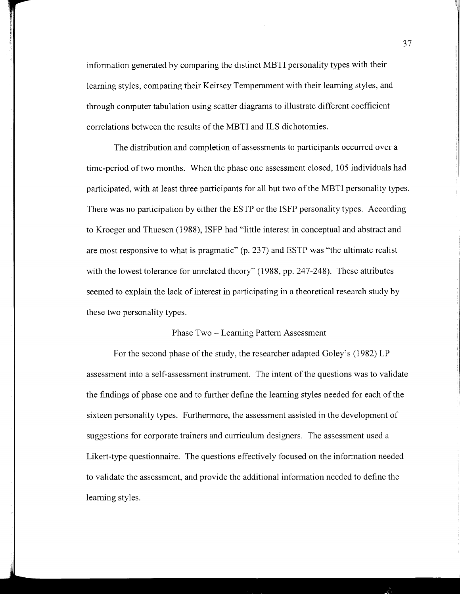information generated by comparing the distinct MBTI personality types with their learning styles, comparing their Keirsey Temperament with their learning styles, and through computer tabulation using scatter diagrams to illustrate different coefficient correlations between the results of the MBTI and ILS dichotomies.

The distribution and completion of assessments to participants occurred over a time-period of two months. When the phase one assessment closed, 105 individuals had participated, with at least three participants for all but two of the MBTI personality types. There was no participation by either the ESTP or the ISFP personality types. According to Kroeger and Thuesen (1988), ISFP had "little interest in conceptual and abstract and are most responsive to what is pragmatic" (p. 237) and ESTP was "the ultimate realist with the lowest tolerance for unrelated theory" (1988, pp. 247-248). These attributes seemed to explain the lack of interest in participating in a theoretical research study by these two personality types.

#### Phase Two - Learning Pattern Assessment

For the second phase of the study, the researcher adapted Goley's (1982) LP assessment into a self-assessment instrument. The intent of the questions was to validate the findings of phase one and to further define the learning styles needed for each of the sixteen personality types. Furthermore, the assessment assisted in the development of suggestions for corporate trainers and curriculum designers. The assessment used a Likert-type questionnaire. The questions effectively focused on the information needed to validate the assessment, and provide the additional information needed to define the learning styles.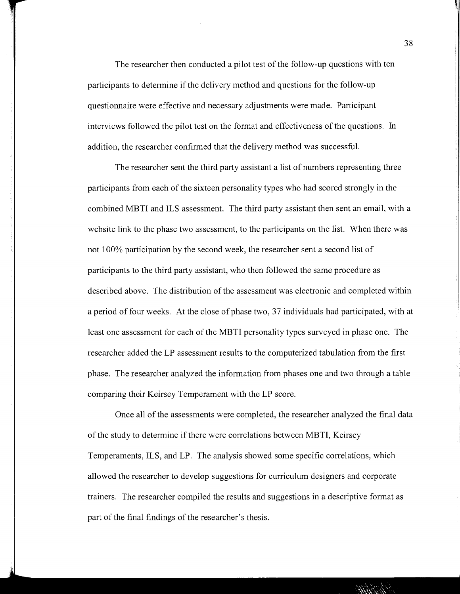The researcher then conducted a pilot test of the follow-up questions with ten participants to determine if the delivery method and questions for the follow-up questionnaire were effective and necessary adjustments were made. Participant interviews followed the pilot test on the format and effectiveness of the questions. In addition, the researcher confirmed that the delivery method was successful.

The researcher sent the third party assistant a list of numbers representing three participants from each of the sixteen personality types who had scored strongly in the combined MBTI and ILS assessment. The third party assistant then sent an email, with a website link to the phase two assessment, to the participants on the list. When there was not 100% participation by the second week, the researcher sent a second list of participants to the third party assistant, who then followed the same procedure as described above. The distribution of the assessment was electronic and completed within a period of four weeks. At the close of phase two, 37 individuals had participated, with at least one assessment for each of the MBTI personality types surveyed in phase one. The researcher added the LP assessment results to the computerized tabulation from the first phase. The researcher analyzed the information from phases one and two through a table 1, comparing their Keirsey Temperament with the LP score.

Once all of the assessments were completed, the researcher analyzed the final data of the study to determine if there were correlations between MBTI, Keirsey Temperaments, ILS, and LP. The analysis showed some specific correlations, which allowed the researcher to develop suggestions for curriculum designers and corporate trainers. The researcher compiled the results and suggestions in a descriptive format as part of the final findings of the researcher's thesis.

38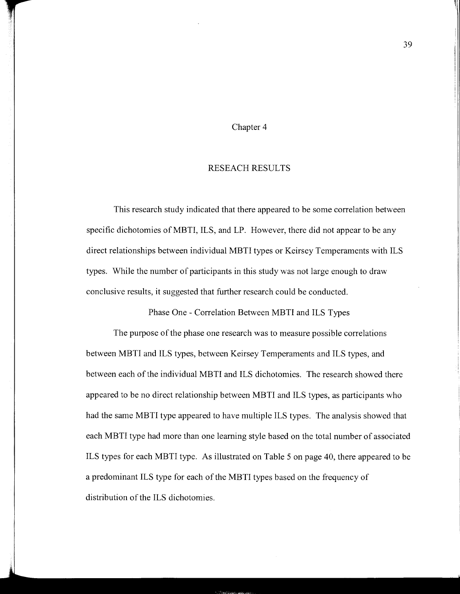#### Chapter 4

## RESEACH RESULTS

This research study indicated that there appeared to be some correlation between specific dichotomies of MBTI, ILS, and LP. However, there did not appear to be any direct relationships between individual MBTI types or Keirsey Temperaments with ILS types. While the number of participants in this study was not large enough to draw conclusive results, it suggested that further research could be conducted.

Phase One - Correlation Between MBTI and ILS Types

The purpose of the phase one research was to measure possible correlations between MBTI and ILS types, between Keirsey Temperaments and ILS types, and between each of the individual MBTI and ILS dichotomies. The research showed there appeared to be no direct relationship between MBTI and ILS types, as participants who had the same MBTI type appeared to have multiple ILS types. The analysis showed that each MBTI type had more than one learning style based on the total number of associated ILS types for each MBTI type. As illustrated on Table 5 on page 40, there appeared to be a predominant ILS type for each of the MBTI types based on the frequency of distribution of the ILS dichotomies.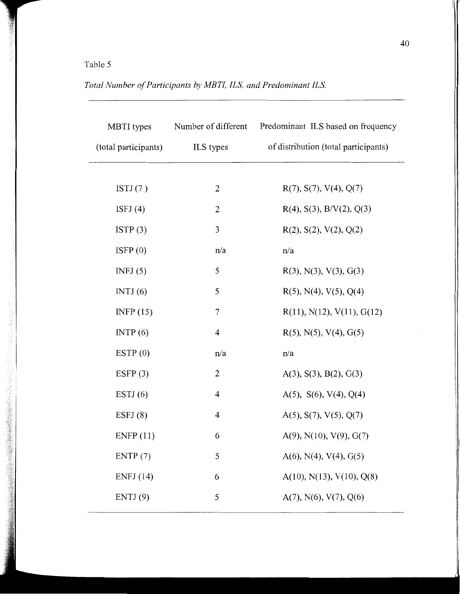# Table 5

| Total Number of Participants by MBTI, ILS, and Predominant ILS. |  |  |
|-----------------------------------------------------------------|--|--|
|-----------------------------------------------------------------|--|--|

| MBTI types<br>(total participants) | Number of different<br>ILS types | Predominant ILS based on frequency<br>of distribution (total participants) |
|------------------------------------|----------------------------------|----------------------------------------------------------------------------|
|                                    |                                  |                                                                            |
|                                    |                                  |                                                                            |
| ISTJ $(7)$                         | $\overline{2}$                   | R(7), S(7), V(4), Q(7)                                                     |
| ISFJ $(4)$                         | 2                                | $R(4)$ , S(3), B/V(2), Q(3)                                                |
| ISTP(3)                            | $\mathfrak{Z}$                   | R(2), S(2), V(2), Q(2)                                                     |
| ISFP $(0)$                         | n/a                              | n/a                                                                        |
| INFJ $(5)$                         | 5                                | $R(3)$ , N(3), V(3), G(3)                                                  |
| INTJ $(6)$                         | 5                                | $R(5)$ , N(4), V(5), Q(4)                                                  |
| INFP $(15)$                        | $\tau$                           | R(11), N(12), V(11), G(12)                                                 |
| INTP(6)                            | $\overline{4}$                   | $R(5)$ , N(5), V(4), G(5)                                                  |
| ESTP $(0)$                         | n/a                              | n/a                                                                        |
| ESFP $(3)$                         | $\overline{2}$                   | A(3), S(3), B(2), G(3)                                                     |
| ESTJ $(6)$                         | 4                                | A(5), S(6), V(4), Q(4)                                                     |
| ESTJ(8)                            | $\overline{4}$                   | $A(5)$ , $S(7)$ , $V(5)$ , $Q(7)$                                          |
| ENFP(11)                           | 6                                | $A(9)$ , N(10), V(9), G(7)                                                 |
| ENTP(7)                            | 5                                | $A(6)$ , N(4), V(4), G(5)                                                  |
| ENFJ(14)                           | 6                                | A(10), N(13), V(10), Q(8)                                                  |
| ENTJ(9)                            | 5                                | $A(7)$ , N(6), V(7), Q(6)                                                  |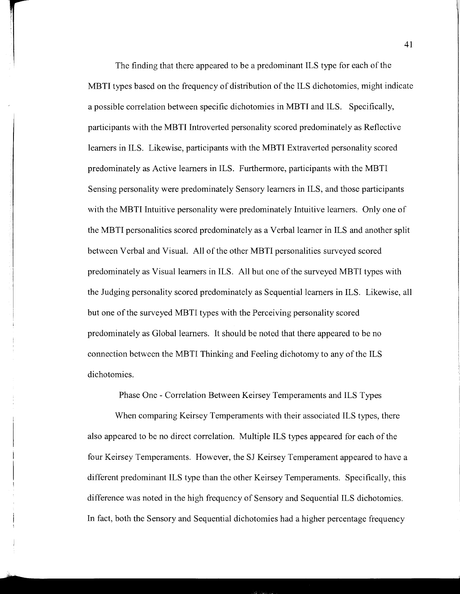The finding that there appeared to be a predominant ILS type for each of the MBTI types based on the frequency of distribution of the ILS dichotomies, might indicate a possible correlation between specific dichotomies in MBTI and ILS. Specifically, participants with the MBTI Introverted personality scored predominately as Reflective learners in ILS. Likewise, participants with the MBTI Extraverted personality scored predominately as Active learners in ILS. Furthermore, participants with the MBTI Sensing personality were predominately Sensory learners in ILS, and those participants with the MBTI Intuitive personality were predominately Intuitive learners. Only one of the MBTI personalities scored predominately as a Verbal learner in ILS and another split between Verbal and Visual. All of the other MBTI personalities surveyed scored predominately as Visual learners in ILS. All but one of the surveyed MBTI types with the Judging personality scored predominately as Sequential learners in ILS. Likewise, all but one of the surveyed MBTI types with the Perceiving personality scored predominately as Global learners. It should be noted that there appeared to be no connection between the MBTI Thinking and Feeling dichotomy to any of the ILS dichotomies.

Phase One - Correlation Between Keirsey Temperaments and ILS Types

When comparing Keirsey Temperaments with their associated ILS types, there also appeared to be no direct correlation. Multiple ILS types appeared for each of the four Keirsey Temperaments. However, the SJ Keirsey Temperament appeared to have a different predominant ILS type than the other Keirsey Temperaments. Specifically, this difference was noted in the high frequency of Sensory and Sequential ILS dichotomies. In fact, both the Sensory and Sequential dichotomies had a higher percentage frequency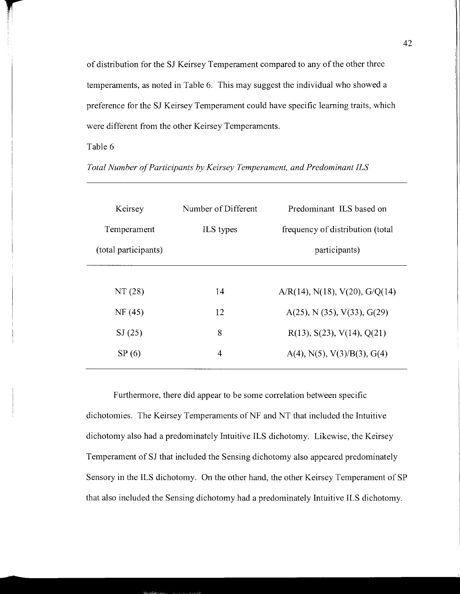of distribution for the SJ Keirsey Temperament compared to any of the other three temperaments, as noted in Table 6. This may suggest the individual who showed a preference for the SJ Keirsey Temperament could have specific learning traits, which were different from the other Keirsey Temperaments.

## Table 6

*Total Number of Participants by Keirsey Temperament, and Predominant ILS* 

| Keirsey              | Number of Different | Predominant ILS based on                 |
|----------------------|---------------------|------------------------------------------|
| Temperament          | ILS types           | frequency of distribution (total)        |
| (total participants) |                     | participants)                            |
|                      |                     |                                          |
| NT(28)               | 14                  | $A/R(14)$ , N(18), V(20), G/Q(14)        |
| NF(45)               | 12                  | $A(25)$ , N $(35)$ , V $(33)$ , G $(29)$ |
| SI(25)               | 8                   | R(13), S(23), V(14), Q(21)               |
| SP(6)                | 4                   | $A(4)$ , N(5), V(3)/B(3), G(4)           |
|                      |                     |                                          |

Furthermore, there did appear to be some correlation between specific dichotomies. The Keirsey Temperaments of NF and NT that included the Intuitive dichotomy also had a predominately Intuitive ILS dichotomy. Likewise, the Keirsey Temperament of SJ that included the Sensing dichotomy also appeared predominately Sensory in the ILS dichotomy. On the other hand, the other Keirsey Temperament of SP that also included the Sensing dichotomy had a predominately Intuitive ILS dichotomy.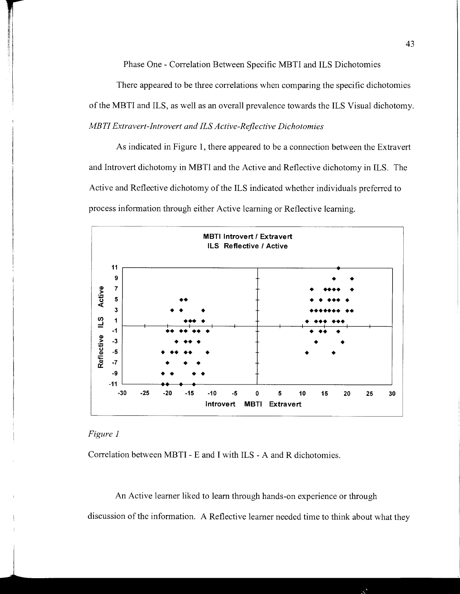Phase One - Correlation Between Specific MBTI and ILS Dichotomies

There appeared to be three correlations when comparing the specific dichotomies of the MBTI and ILS, as well as an overall prevalence towards the ILS Visual dichotomy. *MBTI Extravert-Introvert and ILS Active-Reflective Dichotomies* 

As indicated in Figure **1,** there appeared to be a connection between the Extravert and Introvert dichotomy in MBTI and the Active and Reflective dichotomy in ILS. The Active and Reflective dichotomy of the ILS indicated whether individuals preferred to process information through either Active learning or Reflective learning.



# *Figure 1*

Correlation between MBTI - E and I with ILS - A and R dichotomies.

An Active learner liked to learn through hands-on experience or through discussion of the information. A Reflective learner needed time to think about what they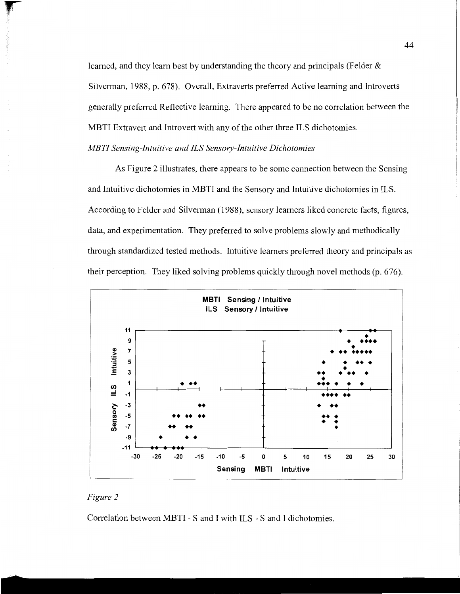learned, and they learn best by understanding the theory and principals (Felder & Silverman, 1988, p. 678). Overall, Extraverts preferred Active learning and Introverts generally preferred Reflective learning. There appeared to be no correlation between the MBTI Extravert and Introvert with any of the other three ILS dichotomies.

#### *MBTI Sensing-Intuitive and ILS Sensory-Intuitive Dichotomies*

As Figure 2 illustrates, there appears to be some connection between the Sensing and Intuitive dichotomies in MBTI and the Sensory and Intuitive dichotomies in ILS. According to Felder and Silverman (1988), sensory learners liked concrete facts, figures, data, and experimentation. They preferred to solve problems slowly and methodically through standardized tested methods. Intuitive learners preferred theory and principals as their perception. They liked solving problems quickly through novel methods (p. 676).



# *Figure 2*

Correlation between MBTI - S and I with ILS - S and I dichotomies.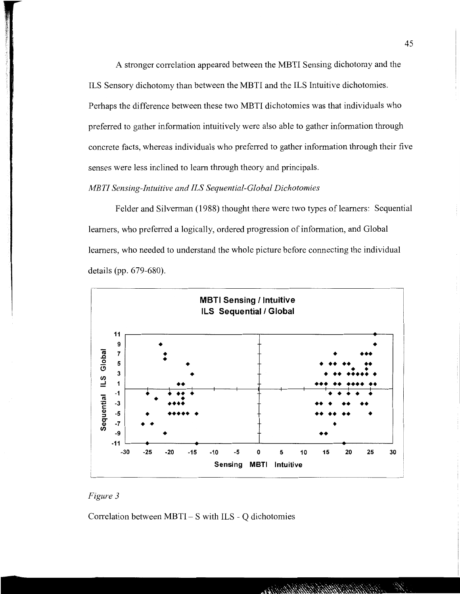A stronger correlation appeared between the MBTI Sensing dichotomy and the ILS Sensory dichotomy than between the MBTI and the ILS Intuitive dichotomies. Perhaps the difference between these two MBTI dichotomies was that individuals who preferred to gather information intuitively were also able to gather information through concrete facts, whereas individuals who preferred to gather information through their five senses were less inclined to learn through theory and principals.

#### *MBTI Sensing-Intuitive and ILS Sequential-Global Dichotomies*

Felder and Silverman (1988) thought there were two types of learners: Sequential learners, who preferred a logically, ordered progression of information, and Global learners, who needed to understand the whole picture before connecting the individual details (pp. 679-680).



# *Figure 3*

Correlation between  $MBTI-S$  with ILS - Q dichotomies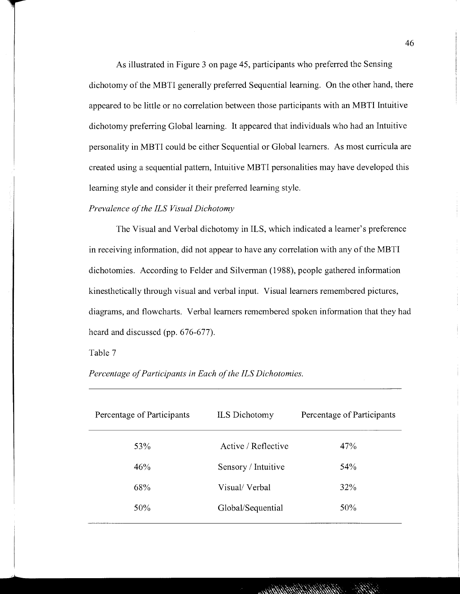As illustrated in Figure 3 on page 45, participants who preferred the Sensing dichotomy of the MBTI generally preferred Sequential learning. On the other hand, there appeared to be little or no correlation between those participants with an MBTI Intuitive dichotomy preferring Global learning. It appeared that individuals who had an Intuitive personality in MBTI could be either Sequential or Global learners. As most curricula are created using a sequential pattern, Intuitive MBTI personalities may have developed this learning style and consider it their preferred learning style.

#### *Prevalence of the ILS Visual Dichotomy*

The Visual and Verbal dichotomy in ILS, which indicated a learner's preference in receiving information, did not appear to have any correlation with any of the MBTI dichotomies. According to Felder and Silverman (1988), people gathered information kinesthetically through visual and verbal input. Visual learners remembered pictures, diagrams, and flowcharts. Verbal learners remembered spoken information that they had heard and discussed (pp. 676-677).

#### Table 7

| Percentage of Participants | <b>ILS</b> Dichotomy | Percentage of Participants |  |
|----------------------------|----------------------|----------------------------|--|
| 53%                        | Active / Reflective  | 47%                        |  |
| 46%                        | Sensory / Intuitive  | 54%                        |  |
| 68%                        | Visual/Verbal        | 32%                        |  |
| 50%                        | Global/Sequential    | 50%                        |  |
|                            |                      |                            |  |

*Percentage of Participants in Each of the ILS Dichotomies.*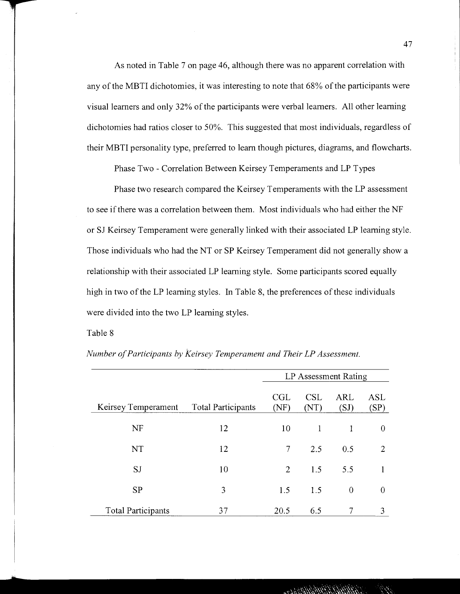As noted in Table 7 on page 46, although there was no apparent correlation with any of the MBTI dichotomies, it was interesting to note that 68% of the participants were visual learners and only 32% of the participants were verbal learners. All other learning dichotomies had ratios closer to 50%. This suggested that most individuals, regardless of their MBTI personality type, preferred to learn though pictures, diagrams, and flowcharts.

Phase Two - Correlation Between Keirsey Temperaments and LP Types

Phase two research compared the Keirsey Temperaments with the LP assessment to see if there was a correlation between them. Most individuals who had either the NF or SJ Keirsey Temperament were generally linked with their associated LP learning style. Those individuals who had the NT or SP Keirsey Temperament did not generally show a relationship with their associated LP learning style. Some participants scored equally high in two of the LP learning styles. In Table 8, the preferences of these individuals were divided into the two LP learning styles.

# Table 8

|                           |                           | LP Assessment Rating |                    |                    |             |
|---------------------------|---------------------------|----------------------|--------------------|--------------------|-------------|
| Keirsey Temperament       | <b>Total Participants</b> | CGL<br>(NF)          | <b>CSL</b><br>(NT) | <b>ARL</b><br>(SJ) | ASL<br>(SP) |
| NF                        | 12                        | 10                   | 1                  | 1                  | 0           |
| NT                        | 12                        | 7                    | 2.5                | 0.5                | 2           |
| SJ                        | 10                        | $\overline{2}$       | 1.5                | 5.5                |             |
| <b>SP</b>                 | 3                         | 1.5                  | 1.5                | $\overline{0}$     | 0           |
| <b>Total Participants</b> | 37                        | 20.5                 | 6.5                | 7                  | 3           |

*Number of Participants by Keirsey Temperament and Their LP Assessment.*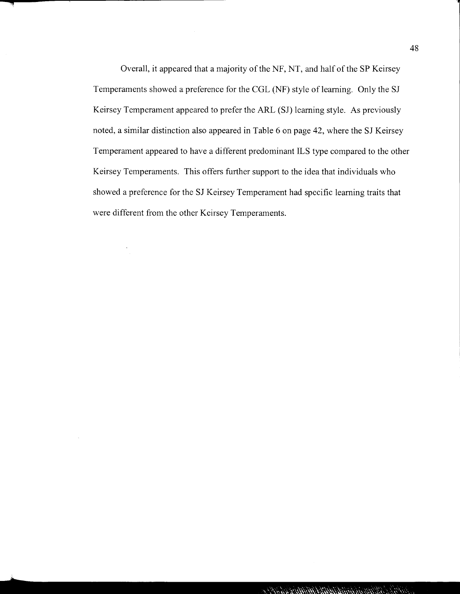Overall, it appeared that a majority of the NF, NT, and half of the SP Keirsey Temperaments showed a preference for the CGL (NF) style of learning. Only the SJ Keirsey Temperament appeared to prefer the ARL (SJ) learning style. As previously noted, a similar distinction also appeared in Table 6 on page 42, where the SJ Keirsey Temperament appeared to have a different predominant ILS type compared to the other Keirsey Temperaments. This offers further support to the idea that individuals who showed a preference for the SJ Keirsey Temperament had specific learning traits that were different from the other Keirsey Temperaments.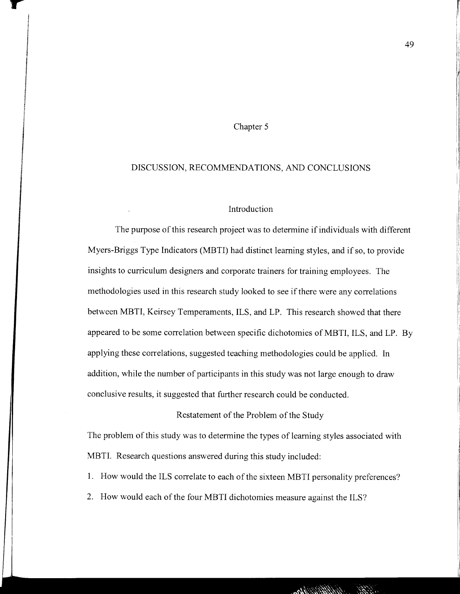## Chapter 5

#### DISCUSSION, RECOMMENDATIONS, AND CONCLUSIONS

# Introduction

The purpose of this research project was to determine if individuals with different Myers-Briggs Type Indicators (MBTI) had distinct learning styles, and if so, to provide insights to curriculum designers and corporate trainers for training employees. The methodologies used in this research study looked to see if there were any correlations between MBTI, Keirsey Temperaments, ILS, and LP. This research showed that there appeared to be some correlation between specific dichotomies of MBTI, ILS, and LP. By applying these correlations, suggested teaching methodologies could be applied. In addition, while the number of participants in this study was not large enough to draw conclusive results, it suggested that further research could be conducted.

#### Restatement of the Problem of the Study

The problem of this study was to determine the types of learning styles associated with MBTI. Research questions answered during this study included:

1. How would the ILS correlate to each of the sixteen MBTI personality preferences?

2. How would each of the four MBTI dichotomies measure against the ILS?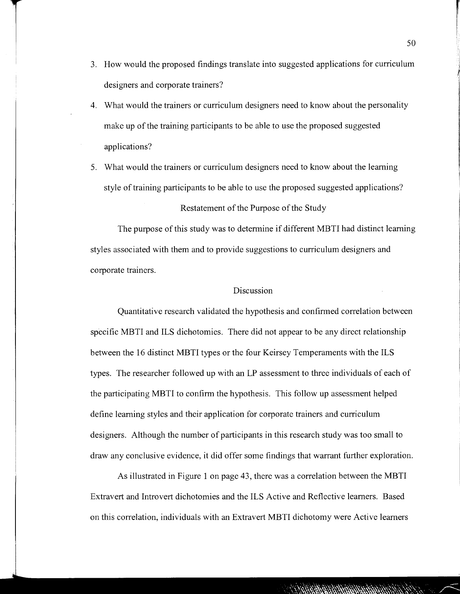- 3. How would the proposed findings translate into suggested applications for curriculum designers and corporate trainers?
- 4. What would the trainers or curriculum designers need to know about the personality make up of the training participants to be able to use the proposed suggested applications?
- 5. What would the trainers or curriculum designers need to know about the learning style of training participants to be able to use the proposed suggested applications?

Restatement of the Purpose of the Study

The purpose of this study was to determine if different MBTI had distinct learning styles associated with them and to provide suggestions to curriculum designers and corporate trainers.

## Discussion

Quantitative research validated the hypothesis and confirmed correlation between specific MBTI and ILS dichotomies. There did not appear to be any direct relationship between the 16 distinct MBTI types or the four Keirsey Temperaments with the ILS types. The researcher followed up with an LP assessment to three individuals of each of the participating MBTI to confirm the hypothesis. This follow up assessment helped define learning styles and their application for corporate trainers and curriculum designers. Although the number of participants in this research study was too small to draw any conclusive evidence, it did offer some findings that warrant further exploration.

As illustrated in Figure 1 on page 43, there was a correlation between the MBTI Extravert and Introvert dichotomies and the ILS Active and Reflective learners. Based on this correlation, individuals with an Extravert MBTI dichotomy were Active learners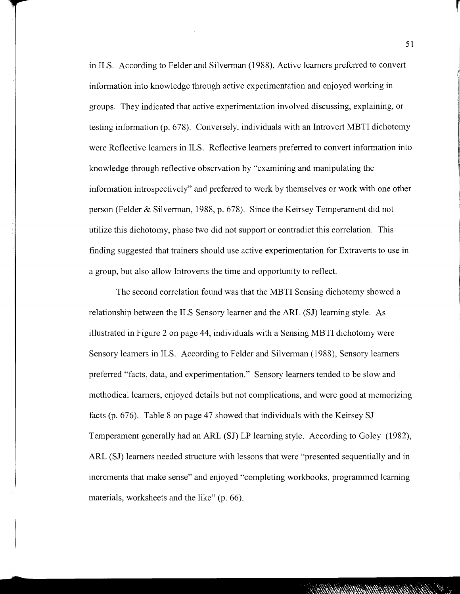in ILS. According to Felder and Silverman (1988), Active learners preferred to convert information into knowledge through active experimentation and enjoyed working in groups. They indicated that active experimentation involved discussing, explaining, or testing information (p. 678). Conversely, individuals with an Introvert MBTI dichotomy were Reflective learners in ILS. Reflective learners preferred to convert information into knowledge through reflective observation by "examining and manipulating the information introspectively" and preferred to work by themselves or work with one other person (Felder & Silverman, 1988, p. 678). Since the Keirsey Temperament did not utilize this dichotomy, phase two did not support or contradict this correlation. This finding suggested that trainers should use active experimentation for Extraverts to use in a group, but also allow Introverts the time and opportunity to reflect.

The second correlation found was that the MBTI Sensing dichotomy showed a relationship between the ILS Sensory learner and the ARL (SJ) learning style. As illustrated in Figure 2 on page 44, individuals with a Sensing MBTI dichotomy were Sensory learners in ILS. According to Felder and Silverman (1988), Sensory learners preferred "facts, data, and experimentation." Sensory learners tended to be slow and methodical learners, enjoyed details but not complications, and were good at memorizing facts (p. 676). Table 8 on page 47 showed that individuals with the Keirsey SJ Temperament generally had an ARL (SJ) LP learning style. According to Goley (1982), ARL (SJ) learners needed structure with lessons that were "presented sequentially and in increments that make sense" and enjoyed "completing workbooks, programmed learning materials, worksheets and the like" (p. 66).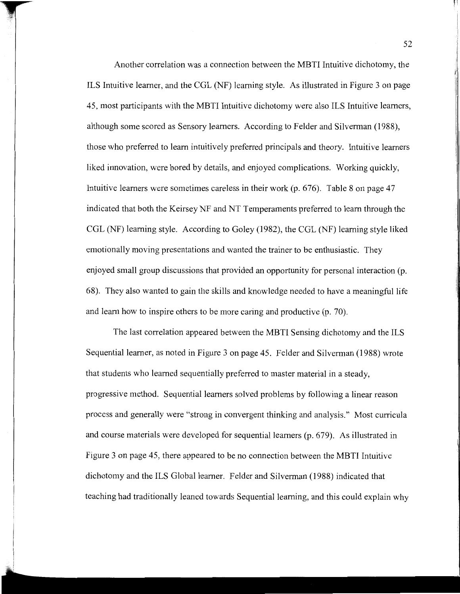Another correlation was a connection between the MBTI Intuitive dichotomy, the ILS Intuitive learner, and the CGL (NF) learning style. As illustrated in Figure 3 on page 45, most participants with the MBTI Intuitive dichotomy were also ILS Intuitive learners, although some scored as Sensory learners. According to Felder and Silverman (1988), those who preferred to learn intuitively preferred principals and theory. Intuitive learners liked innovation, were bored by details, and enjoyed complications. Working quickly, Intuitive learners were sometimes careless in their work (p. 676). Table 8 on page 47 indicated that both the Keirsey NF and NT Temperaments preferred to learn through the CGL (NF) learning style. According to Goley (1982), the CGL (NF) learning style liked emotionally moving presentations and wanted the trainer to be enthusiastic. They enjoyed small group discussions that provided an opportunity for personal interaction (p. 68). They also wanted to gain the skills and knowledge needed to have a meaningful life and learn how to inspire others to be more caring and productive (p. 70).

The last correlation appeared between the MBTI Sensing dichotomy and the ILS Sequential learner, as noted in Figure 3 on page 45. Felder and Silverman (1988) wrote that students who learned sequentially preferred to master material in a steady, progressive method. Sequential learners solved problems by following a linear reason process and generally were "strong in convergent thinking and analysis." Most curricula and course materials were developed for sequential learners (p. 679). As illustrated in Figure 3 on page 45, there appeared to be no connection between the MBTI Intuitive dichotomy and the ILS Global learner. Felder and Silverman (1988) indicated that teaching had traditionally leaned towards Sequential learning, and this could explain why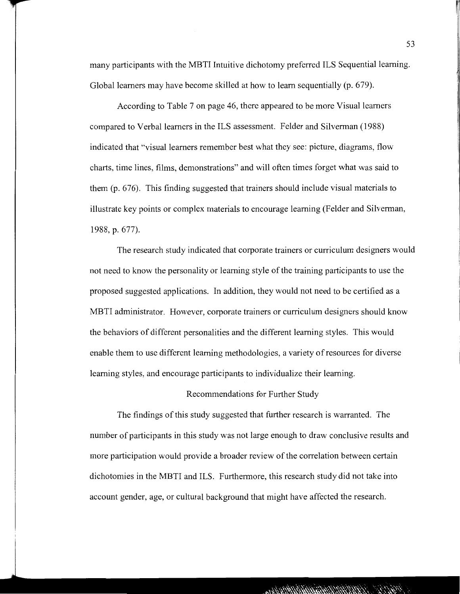many participants with the MBTI Intuitive dichotomy preferred ILS Sequential learning. Global learners may have become skilled at how to learn sequentially (p. 679).

According to Table 7 on page 46, there appeared to be more Visual learners compared to Verbal learners in the ILS assessment. Felder and Silverman (1988) indicated that "visual learners remember best what they see: picture, diagrams, flow charts, time lines, films, demonstrations" and will often times forget what was said to them (p. 676). This finding suggested that trainers should include visual materials to illustrate key points or complex materials to encourage learning (Felder and Silverman, 1988, p. 677).

The research study indicated that corporate trainers or curriculum designers would not need to know the personality or learning style of the training participants to use the proposed suggested applications. In addition, they would not need to be certified as a MBTI administrator. However, corporate trainers or curriculum designers should know the behaviors of different personalities and the different learning styles. This would enable them to use different learning methodologies, a variety of resources for diverse learning styles, and encourage participants to individualize their learning.

#### Recommendations for Further Study

The findings of this study suggested that further research is warranted. The number of participants in this study was not large enough to draw conclusive results and more participation would provide a broader review of the correlation between certain dichotomies in the MBTI and ILS. Furthermore, this research study did not take into account gender, age, or cultural background that might have affected the research.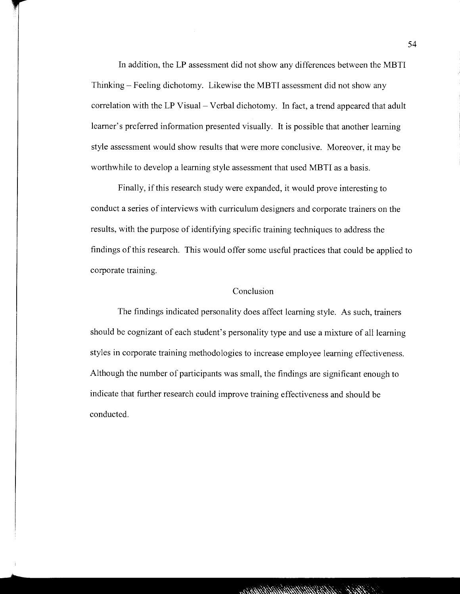In addition, the LP assessment did not show any differences between the MBTI Thinking- Feeling dichotomy. Likewise the MBTI assessment did not show any correlation with the LP Visual – Verbal dichotomy. In fact, a trend appeared that adult learner's preferred information presented visually. It is possible that another learning style assessment would show results that were more conclusive. Moreover, it may be worthwhile to develop a learning style assessment that used MBTI as a basis.

Finally, if this research study were expanded, it would prove interesting to conduct a series of interviews with curriculum designers and corporate trainers on the results, with the purpose of identifying specific training techniques to address the findings of this research. This would offer some useful practices that could be applied to corporate training.

# Conclusion

The findings indicated personality does affect learning style. As such, trainers should be cognizant of each student's personality type and use a mixture of all learning styles in corporate training methodologies to increase employee learning effectiveness. Although the number of participants was small, the findings are significant enough to indicate that further research could improve training effectiveness and should be conducted.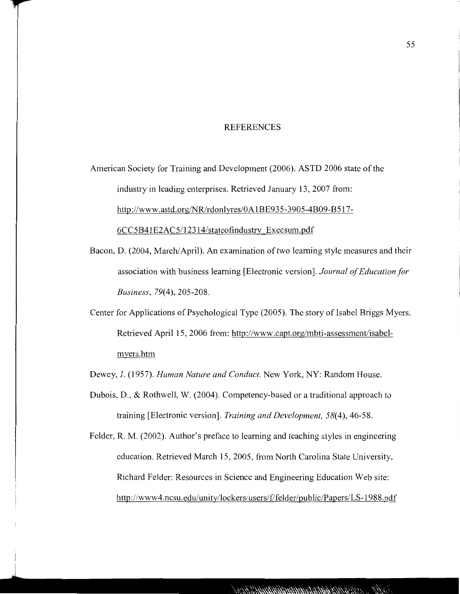#### REFERENCES

American Society for Training and Development (2006). ASTD 2006 state of the industry in leading enterprises. Retrieved January 13, 2007 from: http://www.astd.org/NR/rdonlyres/OA1BE935-3905-4B09-B517- 6CC5B41 E2AC5/12314/stateofindustry Execsum.pdf

- Bacon, D. (2004, March/April). An examination of two learning style measures and their association with business learning [Electronic version]. *Journal of Education for Business, 79(4),* 205-208.
- Center for Applications of Psychological Type (2005). The story of Isabel Briggs Myers. Retrieved April 15, 2006 from: http://www.capt.org/mbti-assessment/isabelmyers.htm

Dewey, J. (1957). *Human Nature and Conduct.* New York, NY: Random House.

Dubois, D., & Rothwell, W. (2004). Competency-based or a traditional approach to training [Electronic version]. *Training and Development, 58(4),* 46-58.

Felder, R. M. (2002). Author's preface to learning and teaching styles in engineering education. Retrieved March 15, 2005, from North Carolina State University, Richard Felder: Resources in Science and Engineering Education Web site: http://www4.ncsu.edu/unity/lockers/users/f/felder/public/Papers/LS-1988.pdf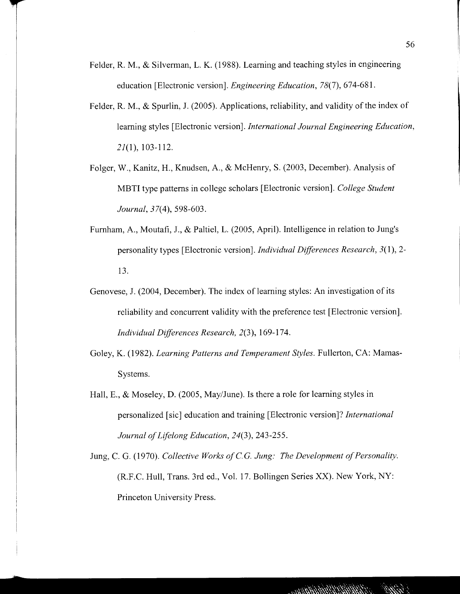- Felder, R. M., & Silverman, L. K. (1988). Learning and teaching styles in engineering education [Electronic version]. *Engineering Education,* 78(7), 674-681.
- Felder, R. M., & Spurlin, J. (2005). Applications, reliability, and validity of the index of learning styles [Electronic version]. *International Journal Engineering Education,*  21(1), 103-112.
- Folger, W., Kanitz, H., Knudsen, A., & McHenry, S. (2003, December). Analysis of MBTI type patterns in college scholars [Electronic version]. *College Student Journal,* 37(4), 598-603.
- Furnham, A., Moutafi, J., & Paltiel, L. (2005, April). Intelligence in relation to *lung's*  personality types [Electronic version]. *Individual Differences Research, 3(* 1 ), 2- 13.
- Genovese, J. (2004, December). The index of learning styles: An investigation of its reliability and concurrent validity with the preference test [Electronic version]. *Individual Differences Research,* 2(3), 169-174.
- Goley, K. (1982). *Learning Patterns and Temperament Styles.* Fullerton, CA: Mamas-Systems.
- Hall, E., & Moseley, D. (2005, May/June). Is there a role for learning styles in personalized [sic] education and training [Electronic version]? *International Journal of Lifelong Education, 24(3),* 243-255.
- Jung, C. G. (1970). *Collective Works of C.G. Jung: The Development of Personality.* (R.F.C. Hull, Trans. 3rd ed., Vol. 17. Bollingen Series XX). New York, NY: Princeton University Press.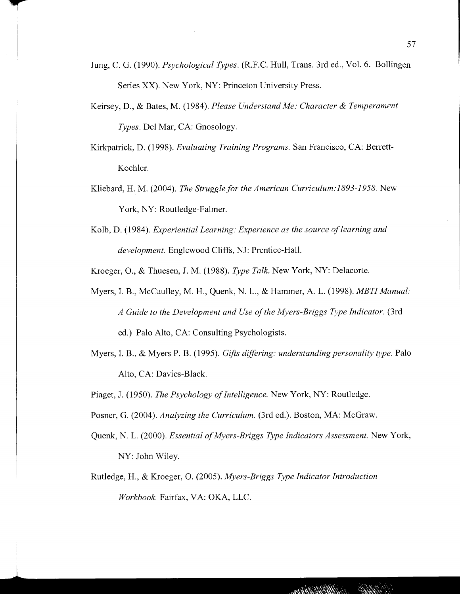- Jung, C. G. (1990). *Psychological Types.* (R.F.C. Hull, Trans. 3rd ed., Vol. 6. Bollingen Series XX). New York, NY: Princeton University Press.
- Keirsey, D., & Bates, M. (1984). *Please Understand Me: Character* & *Temperament Types.* Del Mar, CA: Gnosology.
- Kirkpatrick, D. (1998). *Evaluating Training Programs.* San Francisco, CA: Berrett-Koehler.
- Kliebard, H. M. (2004). *The Struggle for the American Curriculum:J893-1958.* New York, NY: Routledge-Falmer.
- Kolb, D. (1984). *Experiential Learning: Experience as the source of learning and development.* Englewood Cliffs, NJ: Prentice-Hall.
- Kroeger, 0., & Thuesen, J. M. (1988). *Type Talk.* New York, NY: Delacorte.
- Myers, I. B., McCaulley, M. H., Quenk, N. L., & Hammer, A. L. (1998). *MBTI Manual: A Guide to the Development and Use of the Myers-Briggs Type Indicator.* (3rd ed.) Palo Alto, CA: Consulting Psychologists.
- Myers, I. B., & Myers P. B. (1995). *Gifts differing: understanding personality type.* Palo Alto, CA: Davies-Black.
- Piaget, J. (1950). *The Psychology of Intelligence.* New York, NY: Routledge.
- Posner, G. (2004). *Analyzing the Curriculum.* (3rd ed.). Boston, MA: McGraw.
- Quenk, N. L. (2000). *Essential of Myers-Briggs Type Indicators Assessment.* New York, NY': John Wiley.
- Rutledge, H., & Kroeger, 0. (2005). *Myers-Briggs Type Indicator Introduction Workbook.* Fairfax, VA: OKA, LLC.